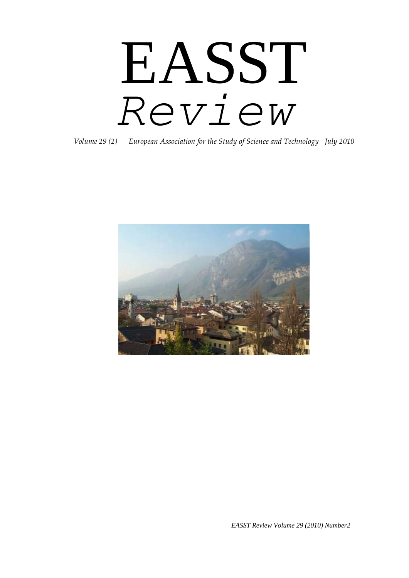# EASST *Review*

*Volume 29 (2) European Association for the Study of Science and Technology July 2010*



*EASST Review Volume 29 (2010) Number2*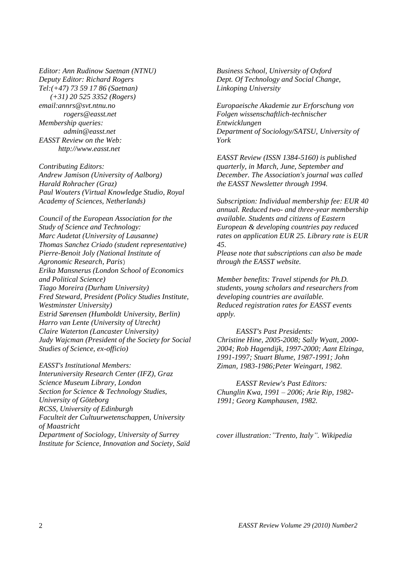*Editor: Ann Rudinow Saetnan (NTNU) Deputy Editor: Richard Rogers Tel:(+47) 73 59 17 86 (Saetnan) (+31) 20 525 3352 (Rogers) email:annrs@svt.ntnu.no rogers@easst.net Membership queries: admin@easst.net EASST Review on the Web: http://www.easst.net*

*Contributing Editors: Andrew Jamison (University of Aalborg) Harald Rohracher (Graz) Paul Wouters (Virtual Knowledge Studio, Royal Academy of Sciences, Netherlands)* 

*Council of the European Association for the Study of Science and Technology: Marc Audetat (University of Lausanne) Thomas Sanchez Criado (student representative) Pierre-Benoit Joly (National Institute of Agronomic Research, Paris*) *Erika Mansnerus (London School of Economics and Political Science) Tiago Moreira (Durham University) Fred Steward, President (Policy Studies Institute, Westminster University) Estrid Sørensen (Humboldt University, Berlin) Harro van Lente (University of Utrecht) Claire Waterton (Lancaster University) Judy Wajcman (President of the Society for Social Studies of Science, ex-officio)* 

*EASST's Institutional Members: Interuniversity Research Center (IFZ), Graz Science Museum Library, London Section for Science & Technology Studies, University of Göteborg RCSS, University of Edinburgh Faculteit der Cultuurwetenschappen, University of Maastricht Department of Sociology, University of Surrey Institute for Science, Innovation and Society, Saïd*  *Business School, University of Oxford Dept. Of Technology and Social Change, Linkoping University*

*Europaeische Akademie zur Erforschung von Folgen wissenschaftlich-technischer Entwicklungen Department of Sociology/SATSU, University of York*

*EASST Review (ISSN 1384-5160) is published quarterly, in March, June, September and December. The Association's journal was called the EASST Newsletter through 1994.* 

*Subscription: Individual membership fee: EUR 40 annual. Reduced two- and three-year membership available. Students and citizens of Eastern European & developing countries pay reduced rates on application EUR 25. Library rate is EUR 45.* 

*Please note that subscriptions can also be made through the EASST website.* 

*Member benefits: Travel stipends for Ph.D. students, young scholars and researchers from developing countries are available. Reduced registration rates for EASST events apply.* 

*EASST's Past Presidents: Christine Hine, 2005-2008; Sally Wyatt, 2000- 2004; Rob Hagendijk, 1997-2000; Aant Elzinga, 1991-1997; Stuart Blume, 1987-1991; John Ziman, 1983-1986;Peter Weingart, 1982.* 

*EASST Review's Past Editors: Chunglin Kwa, 1991 – 2006; Arie Rip, 1982- 1991; Georg Kamphausen, 1982.*

*cover illustration:"Trento, Italy". Wikipedia*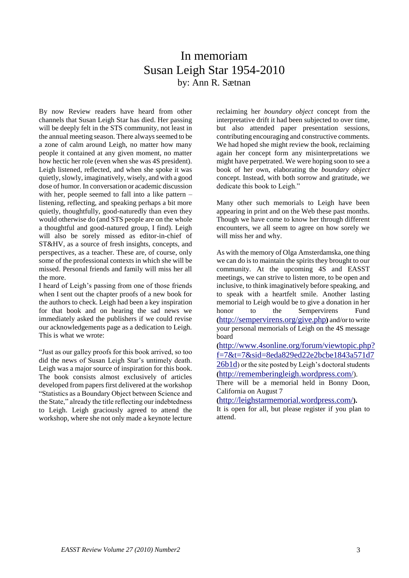## In memoriam Susan Leigh Star 1954-2010 by: Ann R. Sætnan

By now Review readers have heard from other channels that Susan Leigh Star has died. Her passing will be deeply felt in the STS community, not least in the annual meeting season. There always seemed to be a zone of calm around Leigh, no matter how many people it contained at any given moment, no matter how hectic her role (even when she was 4S president). Leigh listened, reflected, and when she spoke it was quietly, slowly, imaginatively, wisely, and with a good dose of humor. In conversation or academic discussion with her, people seemed to fall into a like pattern – listening, reflecting, and speaking perhaps a bit more quietly, thoughtfully, good-naturedly than even they would otherwise do (and STS people are on the whole a thoughtful and good-natured group, I find). Leigh will also be sorely missed as editor-in-chief of ST&HV, as a source of fresh insights, concepts, and perspective*s*, as a teacher. These are, of course, only some of the professional contexts in which she will be missed. Personal friends and family will miss her all the more.

I heard of Leigh"s passing from one of those friends when I sent out the chapter proofs of a new book for the authors to check. Leigh had been a key inspiration for that book and on hearing the sad news we immediately asked the publishers if we could revise our acknowledgements page as a dedication to Leigh. This is what we wrote:

"Just as our galley proofs for this book arrived, so too did the news of Susan Leigh Star"s untimely death. Leigh was a major source of inspiration for this book. The book consists almost exclusively of articles developed from papers first delivered at the workshop "Statistics as a Boundary Object between Science and the State," already the title reflecting our indebtedness to Leigh. Leigh graciously agreed to attend the workshop, where she not only made a keynote lecture

reclaiming her *boundary object* concept from the interpretative drift it had been subjected to over time, but also attended paper presentation sessions, contributing encouraging and constructive comments. We had hoped she might review the book, reclaiming again her concept form any misinterpretations we might have perpetrated. We were hoping soon to see a book of her own, elaborating the *boundary object* concept. Instead, with both sorrow and gratitude, we dedicate this book to Leigh."

Many other such memorials to Leigh have been appearing in print and on the Web these past months. Though we have come to know her through different encounters, we all seem to agree on how sorely we will miss her and why.

As with the memory of Olga Amsterdamska, one thing we can do is to maintain the spirits they brought to our community. At the upcoming 4S and EASST meetings, we can strive to listen more, to be open and inclusive, to think imaginatively before speaking, and to speak with a heartfelt smile. Another lasting memorial to Leigh would be to give a donation in her honor to the Sempervirens Fund **(**<http://sempervirens.org/give.php>**)** and/or to write your personal memorials of Leigh on the 4S message board

**(**[http://www.4sonline.org/forum/viewtopic.php?](http://www.4sonline.org/forum/viewtopic.php?f=7&t=7&sid=8eda829ed22e2bcbe1843a571d726b1d) [f=7&t=7&sid=8eda829ed22e2bcbe1843a571d7](http://www.4sonline.org/forum/viewtopic.php?f=7&t=7&sid=8eda829ed22e2bcbe1843a571d726b1d) [26b1d](http://www.4sonline.org/forum/viewtopic.php?f=7&t=7&sid=8eda829ed22e2bcbe1843a571d726b1d)) or the site posted by Leigh's doctoral students **(**<http://rememberingleigh.wordpress.com/>).

There will be a memorial held in Bonny Doon, California on August 7

**(**<http://leighstarmemorial.wordpress.com/>**).** 

It is open for all, but please register if you plan to attend.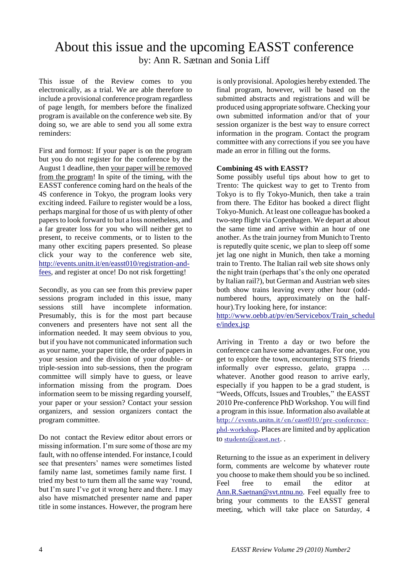## About this issue and the upcoming EASST conference by: Ann R. Sætnan and Sonia Liff

This issue of the Review comes to you electronically, as a trial. We are able therefore to include a provisional conference program regardless of page length, for members before the finalized program is available on the conference web site. By doing so, we are able to send you all some extra reminders:

First and formost: If your paper is on the program but you do not register for the conference by the August 1 deadline, then your paper will be removed from the program! In spite of the timing, with the EASST conference coming hard on the heals of the 4S conference in Tokyo, the program looks very exciting indeed. Failure to register would be a loss, perhaps marginal for those of us with plenty of other papers to look forward to but a loss nonetheless, and a far greater loss for you who will neither get to present, to receive comments, or to listen to the many other exciting papers presented. So please click your way to the conference web site, [http://events.unitn.it/en/easst010/registration-and](http://events.unitn.it/en/easst010/registration-and-fees)[fees,](http://events.unitn.it/en/easst010/registration-and-fees) and register at once! Do not risk forgetting!

Secondly, as you can see from this preview paper sessions program included in this issue, many sessions still have incomplete information. Presumably, this is for the most part because conveners and presenters have not sent all the information needed. It may seem obvious to you, but if you have not communicated information such as your name, your paper title, the order of papers in your session and the division of your double- or triple-session into sub-sessions, then the program committee will simply have to guess, or leave information missing from the program. Does information seem to be missing regarding yourself, your paper or your session? Contact your session organizers, and session organizers contact the program committee.

Do not contact the Review editor about errors or missing information. I'm sure some of those are my fault, with no offense intended. For instance, I could see that presenters" names were sometimes listed family name last, sometimes family name first. I tried my best to turn them all the same way "round, but I'm sure I've got it wrong here and there. I may also have mismatched presenter name and paper title in some instances. However, the program here

is only provisional. Apologies hereby extended. The final program, however, will be based on the submitted abstracts and registrations and will be produced using appropriate software. Checking your own submitted information and/or that of your session organizer is the best way to ensure correct information in the program. Contact the program committee with any corrections if you see you have made an error in filling out the forms.

#### **Combining 4S with EASST?**

Some possibly useful tips about how to get to Trento: The quickest way to get to Trento from Tokyo is to fly Tokyo-Munich, then take a train from there. The Editor has booked a direct flight Tokyo-Munich. At least one colleague has booked a two-step flight via Copenhagen. We depart at about the same time and arrive within an hour of one another. As the train journey from Munich to Trento is reputedly quite scenic, we plan to sleep off some jet lag one night in Munich, then take a morning train to Trento. The Italian rail web site shows only the night train (perhaps that"s the only one operated by Italian rail?), but German and Austrian web sites both show trains leaving every other hour (oddnumbered hours, approximately on the halfhour).Try looking here, for instance:

[http://www.oebb.at/pv/en/Servicebox/Train\\_schedul](http://www.oebb.at/pv/en/Servicebox/Train_schedule/index.jsp) [e/index.jsp](http://www.oebb.at/pv/en/Servicebox/Train_schedule/index.jsp)

Arriving in Trento a day or two before the conference can have some advantages. For one, you get to explore the town, encountering STS friends informally over espresso, gelato, grappa … whatever. Another good reason to arrive early, especially if you happen to be a grad student, is "Weeds, Offcuts, Issues and Troubles," the EASST 2010 Pre-conference PhD Workshop. You will find a program in this issue. Information also available at [http://events.unitn.it/en/easst010/pre-conference](http://events.unitn.it/en/easst010/pre-conference-phd-workshop)[phd-workshop](http://events.unitn.it/en/easst010/pre-conference-phd-workshop)**.** Places are limited and by application to [students@easst.net](mailto:students@easst.net)..

Returning to the issue as an experiment in delivery form, comments are welcome by whatever route you choose to make them should you be so inclined. Feel free to email the editor at [Ann.R.Saetnan@svt.ntnu.no.](mailto:Ann.R.Saetnan@svt.ntnu.no) Feel equally free to bring your comments to the EASST general meeting, which will take place on Saturday, 4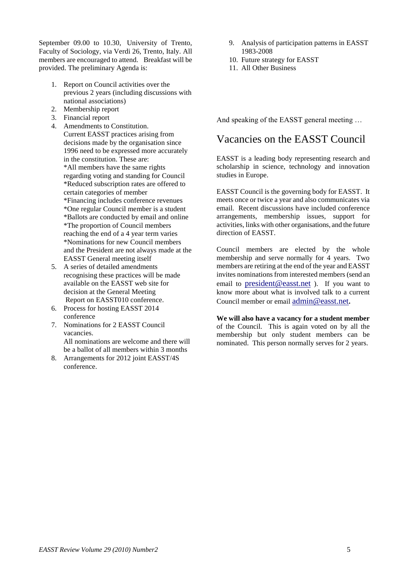September 09.00 to 10.30, University of Trento, Faculty of Sociology, via Verdi 26, Trento, Italy. All members are encouraged to attend. Breakfast will be provided. The preliminary Agenda is:

- 1. Report on Council activities over the previous 2 years (including discussions with national associations)
- 2. Membership report
- 3. Financial report
- 4. Amendments to Constitution. Current EASST practices arising from decisions made by the organisation since 1996 need to be expressed more accurately in the constitution. These are: \*All members have the same rights regarding voting and standing for Council \*Reduced subscription rates are offered to certain categories of member \*Financing includes conference revenues \*One regular Council member is a student \*Ballots are conducted by email and online \*The proportion of Council members reaching the end of a 4 year term varies \*Nominations for new Council members and the President are not always made at the EASST General meeting itself
- 5. A series of detailed amendments recognising these practices will be made available on the EASST web site for decision at the General Meeting Report on EASST010 conference.
- 6. Process for hosting EASST 2014 conference
- 7. Nominations for 2 EASST Council vacancies. All nominations are welcome and there will be a ballot of all members within 3 months
- 8. Arrangements for 2012 joint EASST/4S conference.
- 9. Analysis of participation patterns in EASST 1983-2008
- 10. Future strategy for EASST
- 11. All Other Business

And speaking of the EASST general meeting …

## Vacancies on the EASST Council

EASST is a leading body representing research and scholarship in science, technology and innovation studies in Europe.

EASST Council is the governing body for EASST. It meets once or twice a year and also communicates via email. Recent discussions have included conference arrangements, membership issues, support for activities, links with other organisations, and the future direction of EASST.

Council members are elected by the whole membership and serve normally for 4 years. Two members are retiring at the end of the year and EASST invites nominations from interested members (send an email to [president@easst.net](mailto:president@easst.net) ). If you want to know more about what is involved talk to a current Council member or email [admin@easst.net](mailto:admin@easst.net)**.** 

**We will also have a vacancy for a student member** of the Council. This is again voted on by all the membership but only student members can be nominated. This person normally serves for 2 years.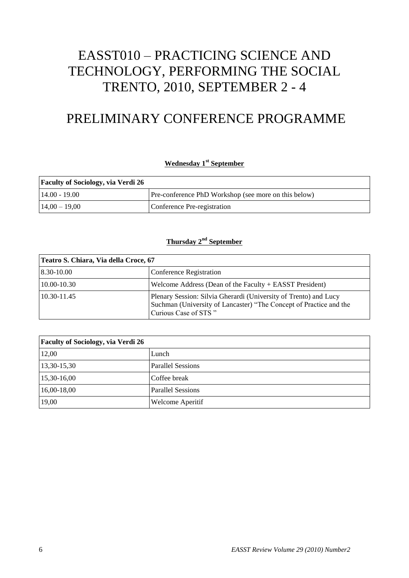# EASST010 – PRACTICING SCIENCE AND TECHNOLOGY, PERFORMING THE SOCIAL TRENTO, 2010, SEPTEMBER 2 - 4

## PRELIMINARY CONFERENCE PROGRAMME

#### **Wednesday 1st September**

| <b>Faculty of Sociology, via Verdi 26</b> |                                                      |
|-------------------------------------------|------------------------------------------------------|
| $14.00 - 19.00$                           | Pre-conference PhD Workshop (see more on this below) |
| $14,00 - 19,00$                           | Conference Pre-registration                          |

#### **Thursday 2nd September**

| Teatro S. Chiara, Via della Croce, 67 |                                                                                                                                                                |  |  |
|---------------------------------------|----------------------------------------------------------------------------------------------------------------------------------------------------------------|--|--|
| 8.30-10.00                            | Conference Registration                                                                                                                                        |  |  |
| 10.00-10.30                           | Welcome Address (Dean of the Faculty $+$ EASST President)                                                                                                      |  |  |
| 10.30-11.45                           | Plenary Session: Silvia Gherardi (University of Trento) and Lucy<br>Suchman (University of Lancaster) "The Concept of Practice and the<br>Curious Case of STS" |  |  |

| <b>Faculty of Sociology, via Verdi 26</b> |                          |
|-------------------------------------------|--------------------------|
| 12,00                                     | Lunch                    |
| 13,30-15,30                               | <b>Parallel Sessions</b> |
| 15,30-16,00                               | Coffee break             |
| 16,00-18,00                               | <b>Parallel Sessions</b> |
| 19,00                                     | Welcome Aperitif         |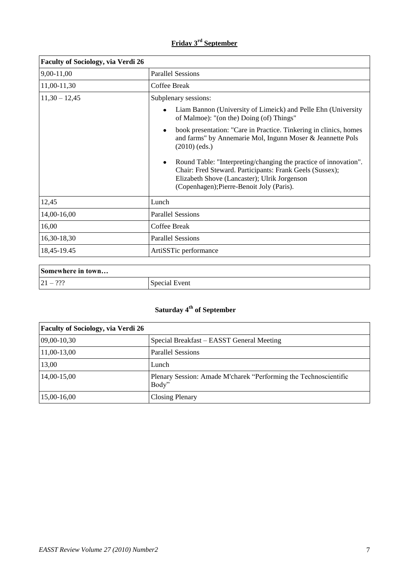## **Friday 3rd September**

| <b>Faculty of Sociology, via Verdi 26</b> |                                                                                                                                                                                                                           |
|-------------------------------------------|---------------------------------------------------------------------------------------------------------------------------------------------------------------------------------------------------------------------------|
| 9,00-11,00                                | <b>Parallel Sessions</b>                                                                                                                                                                                                  |
| 11,00-11,30                               | Coffee Break                                                                                                                                                                                                              |
| $11,30 - 12,45$                           | Subplenary sessions:                                                                                                                                                                                                      |
|                                           | Liam Bannon (University of Limeick) and Pelle Ehn (University<br>$\bullet$<br>of Malmoe): "(on the) Doing (of) Things"                                                                                                    |
|                                           | book presentation: "Care in Practice. Tinkering in clinics, homes<br>$\bullet$<br>and farms" by Annemarie Mol, Ingunn Moser & Jeannette Pols<br>$(2010)$ (eds.)                                                           |
|                                           | Round Table: "Interpreting/changing the practice of innovation".<br>Chair: Fred Steward. Participants: Frank Geels (Sussex);<br>Elizabeth Shove (Lancaster); Ulrik Jorgenson<br>(Copenhagen); Pierre-Benoit Joly (Paris). |
| 12,45                                     | Lunch                                                                                                                                                                                                                     |
| 14,00-16,00                               | <b>Parallel Sessions</b>                                                                                                                                                                                                  |
| 16,00                                     | Coffee Break                                                                                                                                                                                                              |
| 16,30-18,30                               | <b>Parallel Sessions</b>                                                                                                                                                                                                  |
| 18,45-19.45                               | ArtiSSTic performance                                                                                                                                                                                                     |

| Somewhere in town          |               |
|----------------------------|---------------|
| ാററ<br>$121 -$<br>$\cdots$ | Special Event |

## **Saturday 4th of September**

| <b>Faculty of Sociology, via Verdi 26</b> |                                                                           |
|-------------------------------------------|---------------------------------------------------------------------------|
| $09,00-10,30$                             | Special Breakfast – EASST General Meeting                                 |
| 11,00-13,00                               | <b>Parallel Sessions</b>                                                  |
| 13,00                                     | Lunch                                                                     |
| 14,00-15,00                               | Plenary Session: Amade M'charek "Performing the Technoscientific<br>Body" |
| 15,00-16,00                               | <b>Closing Plenary</b>                                                    |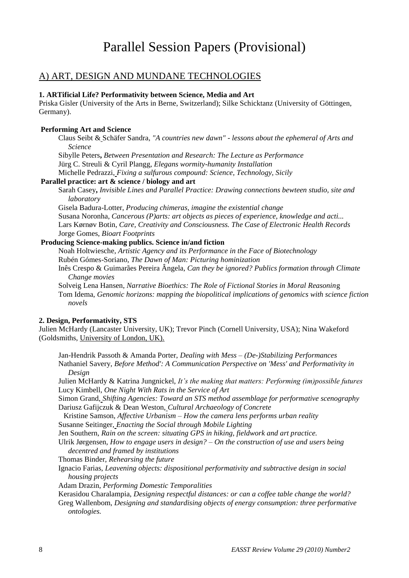## Parallel Session Papers (Provisional)

#### A) ART, DESIGN AND MUNDANE TECHNOLOGIES

#### **1. ARTificial Life? Performativity between Science, Media and Art**

Priska Gisler (University of the Arts in Berne, Switzerland); Silke Schicktanz (University of Göttingen, Germany).

#### **Performing Art and Science**

Claus Seibt & Schäfer Sandra, *"A countries new dawn" - lessons about the ephemeral of Arts and Science*

Sibylle Peters**,** *Between Presentation and Research: The Lecture as Performance*

Jürg C. Streuli & Cyril Plangg, *Elegans wormity-humanity Installation*

Michelle Pedrazzi, *Fixing a sulfurous compound: Science, Technology, Sicily*

#### **Parallel practice: art & science / biology and art**

Sarah Casey**,** *Invisible Lines and Parallel Practice: Drawing connections bewteen studio, site and laboratory*

Gisela Badura-Lotter, *Producing chimeras, imagine the existential change* Susana Noronha, *Cancerous (P)arts: art objects as pieces of experience, knowledge and acti...* Lars Kørnøv Botin, *Care, Creativity and Consciousness. The Case of Electronic Health Records*  Jorge Gomes, *Bioart Footprints*

#### **Producing Science-making publics. Science in/and fiction**

Noah Holtwiesche, *Artistic Agency and its Performance in the Face of Biotechnology* Rubén Gómes-Soriano, *The Dawn of Man: Picturing hominization*

- Inês Crespo & Guimarães Pereira Ângela, *Can they be ignored? Publics formation through Climate Change movies*
- Solveig Lena Hansen, *Narrative Bioethics: The Role of Fictional Stories in Moral Reasonin*g Tom Idema, *Genomic horizons: mapping the biopolitical implications of genomics with science fiction novels*

#### **2. Design, Performativity, STS**

Julien McHardy (Lancaster University, UK); Trevor Pinch (Cornell University, USA); Nina Wakeford (Goldsmiths, University of London, UK).

Jan-Hendrik Passoth & Amanda Porter, *Dealing with Mess – (De-)Stabilizing Performances* Nathaniel Savery, *Before Method': A Communication Perspective on 'Mess' and Performativity in Design*

Julien McHardy & Katrina Jungnickel, *It"s the making that matters: Performing (im)possible futures* Lucy Kimbell, *One Night With Rats in the Service of Art*

Simon Grand, *Shifting Agencies: Toward an STS method assemblage for performative scenography* Dariusz Gafijczuk & Dean Weston, *Cultural Archaeology of Concrete*

Kristine Samson, *Affective Urbanism – How the camera lens performs urban reality* Susanne Seitinger, *Enacting the Social through Mobile Lighting*

Jen Southern, *Rain on the screen: situating GPS in hiking, fieldwork and art practice.*

Ulrik Jørgensen, *How to engage users in design? – On the construction of use and users being decentred and framed by institutions*

Thomas Binder, *Rehearsing the future*

Ignacio Farias, *Leavening objects: dispositional performativity and subtractive design in social housing projects*

Adam Drazin, *Performing Domestic Temporalities*

Kerasidou Charalampia, *Designing respectful distances: or can a coffee table change the world?*

Greg Wallenbom, *Designing and standardising objects of energy consumption: three performative ontologies.*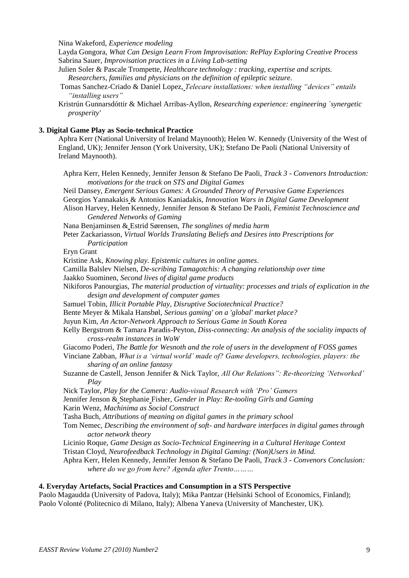Nina Wakeford, *Experience modeling*

Layda Gongora, *What Can Design Learn From Improvisation: RePlay Exploring Creative Process* Sabrina Sauer, *Improvisation practices in a Living Lab-setting*

Julien Soler & Pascale Trompette, *Healthcare technology : tracking, expertise and scripts. Researchers, families and physicians on the definition of epileptic seizure.*

- Tomas Sanchez-Criado & Daniel Lopez, *Telecare installations: when installing "devices" entails "installing users"*
- Kristrún Gunnarsdóttir & Michael Arribas-Ayllon, *Researching experience: engineering `synergetic prosperity'*

#### **3. Digital Game Play as Socio-technical Practice**

Aphra Kerr (National University of Ireland Maynooth); Helen W. Kennedy (University of the West of England, UK); Jennifer Jenson (York University, UK); Stefano De Paoli (National University of Ireland Maynooth).

Aphra Kerr, Helen Kennedy, Jennifer Jenson & Stefano De Paoli, *Track 3 - Convenors Introduction: motivations for the track on STS and Digital Games*

Neil Dansey, *Emergent Serious Games: A Grounded Theory of Pervasive Game Experiences*  Georgios Yannakakis & Antonios Kaniadakis, *Innovation Wars in Digital Game Development* Alison Harvey, Helen Kennedy, Jennifer Jenson & Stefano De Paoli, *Feminist Technoscience and Gendered Networks of Gaming*

Nana Benjaminsen & Estrid Sørensen, *The songlines of media harm*

Peter Zackariasson, *Virtual Worlds Translating Beliefs and Desires into Prescriptions for Participation*

Eryn Grant

Kristine Ask, *Knowing play. Epistemic cultures in online games*.

Camilla Balslev Nielsen, *De-scribing Tamagotchis: A changing relationship over time*

Jaakko Suominen, *Second lives of digital game products*

Nikiforos Panourgias, *The material production of virtuality: processes and trials of explication in the design and development of computer games*

Samuel Tobin, *Illicit Portable Play, Disruptive Sociotechnical Practice?*

Bente Meyer & Mikala Hansbøl, *Serious gaming' on a 'global' market place?*

Juyun Kim, *An Actor-Network Approach to Serious Game in South Korea*

Kelly Bergstrom & Tamara Paradis-Peyton, *Diss-connecting: An analysis of the sociality impacts of cross-realm instances in WoW*

Giacomo Poderi, *The Battle for Wesnoth and the role of users in the development of FOSS games*

Vinciane Zabban, *What is a "virtual world" made of? Game developers, technologies, players: the sharing of an online fantasy*

Suzanne de Castell, Jenson Jennifer & Nick Taylor, *All Our Relations": Re-theorizing "Networked" Play*

Nick Taylor, *Play for the Camera: Audio-visual Research with "Pro" Gamers*

Jennifer Jenson & Stephanie Fisher, *Gender in Play: Re-tooling Girls and Gaming*

Karin Wenz, *Machinima as Social Construct*

Tasha Buch, *Attributions of meaning on digital games in the primary school*

Tom Nemec, *Describing the environment of soft- and hardware interfaces in digital games through actor network theory*

Licinio Roque, *Game Design as Socio-Technical Engineering in a Cultural Heritage Context* Tristan Cloyd, *Neurofeedback Technology in Digital Gaming: (Non)Users in Mind.*

Aphra Kerr, Helen Kennedy, Jennifer Jenson & Stefano De Paoli, *Track 3 - Convenors Conclusion: where do we go from here? Agenda after Trento………*

#### **4. Everyday Artefacts, Social Practices and Consumption in a STS Perspective**

Paolo Magaudda (University of Padova, Italy); Mika Pantzar (Helsinki School of Economics, Finland); Paolo Volonté (Politecnico di Milano, Italy); Albena Yaneva (University of Manchester, UK).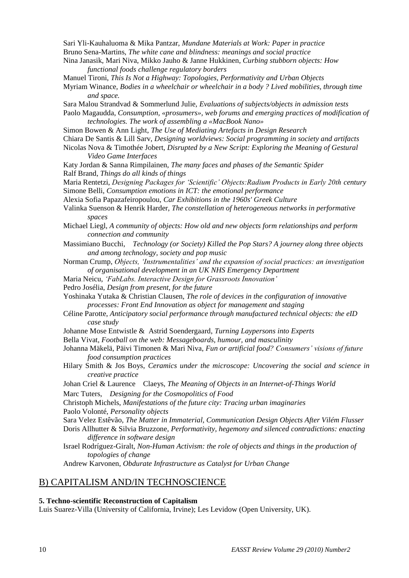Sari Yli-Kauhaluoma & Mika Pantzar, *Mundane Materials at Work: Paper in practice*

- Bruno Sena-Martins, *The white cane and blindness: meanings and social practice*
- Nina Janasik, Mari Niva, Mikko Jauho & Janne Hukkinen, *Curbing stubborn objects: How functional foods challenge regulatory borders*
- Manuel Tironi, *This Is Not a Highway: Topologies, Performativity and Urban Objects*
- Myriam Winance, *Bodies in a wheelchair or wheelchair in a body ? Lived mobilities, through time and space.*
- Sara Malou Strandvad & Sommerlund Julie, *Evaluations of subjects/objects in admission tests* Paolo Magaudda, *Consumption, «prosumers», web forums and emerging practices of modification of*
- *technologies. The work of assembling a «MacBook Nano»*
- Simon Bowen & Ann Light, *The Use of Mediating Artefacts in Design Research* Chiara De Santis & Lill Sarv, *Designing worldviews: Social programming in society and artifacts*
- Nicolas Nova & Timothée Jobert, *Disrupted by a New Script: Exploring the Meaning of Gestural Video Game Interfaces*
- Katy Jordan & Sanna Rimpilainen, *The many faces and phases of the Semantic Spider* Ralf Brand, *Things do all kinds of things*
- Maria Rentetzi, *Designing Packages for "Scientific" Objects:Radium Products in Early 20th century* Simone Belli, *Consumption emotions in ICT: the emotional performance*

Alexia Sofia Papazafeiropoulou, *Car Exhibitions in the 1960s' Greek Culture*

- Valinka Suenson & Henrik Harder, *The constellation of heterogeneous networks in performative spaces*
- Michael Liegl, *A community of objects: How old and new objects form relationships and perform connection and community*
- Massimiano Bucchi, *Technology (or Society) Killed the Pop Stars? A journey along three objects and among technology, society and pop music*
- Norman Crump, *Objects, "Instrumentalities" and the expansion of social practices: an investigation of organisational development in an UK NHS Emergency Department*
- Maria Neicu, *"FabLabs. Interactive Design for Grassroots Innovation"*
- Pedro Josélia, *Design from present, for the future*
- Yoshinaka Yutaka & Christian Clausen, *The role of devices in the configuration of innovative processes: Front End Innovation as object for management and staging*
- Céline Parotte, *Anticipatory social performance through manufactured technical objects: the eID case study*
- Johanne Mose Entwistle & Astrid Soendergaard, *Turning Laypersons into Experts*
- Bella Vivat, *Football on the web: Messageboards, humour, and masculinity*
- Johanna Mäkelä, Päivi Timonen & Mari Niva, *Fun or artificial food? Consumers" visions of future food consumption practices*
- Hilary Smith & Jos Boys, *Ceramics under the microscope: Uncovering the social and science in creative practice*
- Johan Criel & Laurence Claeys, *The Meaning of Objects in an Internet-of-Things World* Marc Tuters, *Designing for the Cosmopolitics of Food*
- Christoph Michels, *Manifestations of the future city: Tracing urban imaginaries*
- Paolo Volonté, *Personality objects*
- Sara Velez Estêvão, *The Matter in Immaterial, Communication Design Objects After Vilém Flusser* Doris Allhutter & Silvia Bruzzone, *Performativity, hegemony and silenced contradictions: enacting difference in software design*
- Israel Rodríguez-Giralt, *Non-Human Activism: the role of objects and things in the production of topologies of change*

Andrew Karvonen, *Obdurate Infrastructure as Catalyst for Urban Change*

#### B) CAPITALISM AND/IN TECHNOSCIENCE

#### **5. Techno-scientific Reconstruction of Capitalism**

Luis Suarez-Villa (University of California, Irvine); Les Levidow (Open University, UK).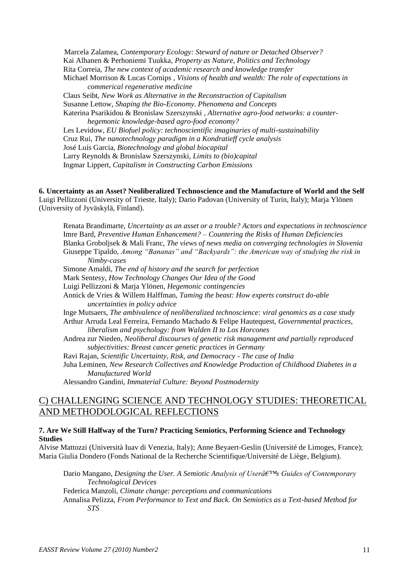Marcela Zalamea, *Contemporary Ecology: Steward of nature or Detached Observer?* Kai Alhanen & Perhoniemi Tuukka, *Property as Nature, Politics and Technology* Rita Correia, *The new context of academic research and knowledge transfer* Michael Morrison & Lucas Cornips , *Visions of health and wealth: The role of expectations in commerical regenerative medicine* Claus Seibt, *New Work as Alternative in the Reconstruction of Capitalism* Susanne Lettow, *Shaping the Bio-Economy. Phenomena and Concepts* Katerina Psarikidou & Bronislaw Szerszynski , *Alternative agro-food networks: a counterhegemonic knowledge-based agro-food economy?* Les Levidow, *EU Biofuel policy: technoscientific imaginaries of multi-sustainability* Cruz Rui, *The nanotechnology paradigm in a Kondratieff cycle analysis* José Luís Garcia, *Biotechnology and global biocapital* Larry Reynolds & Bronislaw Szerszynski, *Limits to (bio)capital* Ingmar Lippert, *Capitalism in Constructing Carbon Emissions*

**6. Uncertainty as an Asset? Neoliberalized Technoscience and the Manufacture of World and the Self** Luigi Pellizzoni (University of Trieste, Italy); Dario Padovan (University of Turin, Italy); Marja Ylönen (University of Jyväskylä, Finland).

Renata Brandimarte, *Uncertainty as an asset or a trouble? Actors and expectations in technoscience* Imre Bard, *Preventive Human Enhancement? – Countering the Risks of Human Deficiencies* Blanka Groboljsek & Mali Franc, *The views of news media on converging technologies in Slovenia* Giuseppe Tipaldo, *Among "Bananas" and "Backyards": the American way of studying the risk in Nimby-cases* Simone Amaldi, *The end of history and the search for perfection* Mark Sentesy, *How Technology Changes Our Idea of the Good* Luigi Pellizzoni & Marja Ylönen, *Hegemonic contingencies* Annick de Vries & Willem Halffman, *Taming the beast: How experts construct do-able uncertainties in policy advice* Inge Mutsaers, *The ambivalence of neoliberalized technoscience: viral genomics as a case study* Arthur Arruda Leal Ferreira, Fernando Machado & Felipe Hautequest, *Governmental practices, liberalism and psychology: from Walden II to Los Horcones* Andrea zur Nieden, *Neoliberal discourses of genetic risk management and partially reproduced subjectivities: Breast cancer genetic practices in Germany* Ravi Rajan, *Scientific Uncertainty, Risk, and Democracy - The case of India* Juha Leminen, *New Research Collectives and Knowledge Production of Childhood Diabetes in a Manufactured World* Alessandro Gandini, *Immaterial Culture: Beyond Postmodernity*

#### C) CHALLENGING SCIENCE AND TECHNOLOGY STUDIES: THEORETICAL AND METHODOLOGICAL REFLECTIONS

#### **7. Are We Still Halfway of the Turn? Practicing Semiotics, Performing Science and Technology Studies**

Alvise Mattozzi (Università Iuav di Venezia, Italy); Anne Beyaert-Geslin (Université de Limoges, France); Maria Giulia Dondero (Fonds National de la Recherche Scientifique/Université de Liège, Belgium).

Dario Mangano, *Designing the User. A Semiotic Analysis of Userâ* E<sup>TM</sup>s Guides of Contemporary *Technological Devices*

Federica Manzoli, *Climate change: perceptions and communications*

Annalisa Pelizza, *From Performance to Text and Back. On Semiotics as a Text-based Method for STS*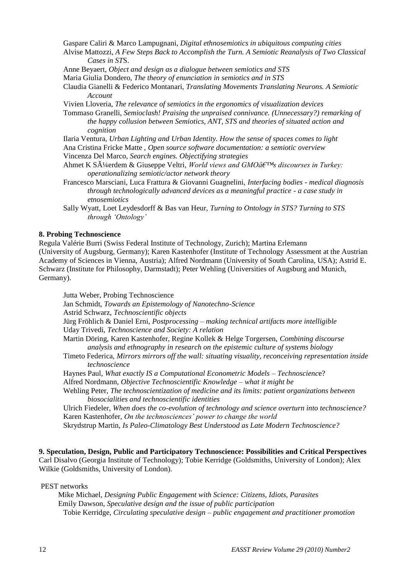Gaspare Caliri & Marco Lampugnani, *Digital ethnosemiotics in ubiquitous computing cities*

- Alvise Mattozzi, *A Few Steps Back to Accomplish the Turn. A Semiotic Reanalysis of Two Classical Cases in ST*S.
- Anne Beyaert, *Object and design as a dialogue between semiotics and STS*
- Maria Giulia Dondero, *The theory of enunciation in semiotics and in STS*

Claudia Gianelli & Federico Montanari, *Translating Movements Translating Neurons. A Semiotic Account*

Vivien Lloveria, *The relevance of semiotics in the ergonomics of visualization devices*

Tommaso Granelli, *Semioclash! Praising the unpraised connivance. (Unnecessary?) remarking of the happy collusion between Semiotics, ANT, STS and theories of situated action and cognition*

Ilaria Ventura, *Urban Lighting and Urban Identity. How the sense of spaces comes to light* Ana Cristina Fricke Matte , *Open source software documentation: a semiotic overview* Vincenza Del Marco, *Search engines. Objectifying strategies*

Ahmet K Süerdem & Giuseppe Veltri, *World views and GMOâ€*™s discourses in Turkey: *operationalizing semiotic/actor network theory*

- Francesco Marsciani, Luca Frattura & Giovanni Guagnelini, *Interfacing bodies - medical diagnosis through technologically advanced devices as a meaningful practice - a case study in etnosemiotics*
- Sally Wyatt, Loet Leydesdorff & Bas van Heur, *Turning to Ontology in STS? Turning to STS through "Ontology"*

#### **8. Probing Technoscience**

Regula Valérie Burri (Swiss Federal Institute of Technology, Zurich); Martina Erlemann (University of Augsburg, Germany); Karen Kastenhofer (Institute of Technology Assessment at the Austrian Academy of Sciences in Vienna, Austria); Alfred Nordmann (University of South Carolina, USA); Astrid E. Schwarz (Institute for Philosophy, Darmstadt); Peter Wehling (Universities of Augsburg and Munich, Germany).

Jutta Weber, Probing Technoscience Jan Schmidt, *Towards an Epistemology of Nanotechno-Science*  Astrid Schwarz, *Technoscientific objects* Jürg Fröhlich & Daniel Erni, *Postprocessing – making technical artifacts more intelligible* Uday Trivedi, *Technoscience and Society: A relation* Martin Döring, Karen Kastenhofer, Regine Kollek & Helge Torgersen, *Combining discourse analysis and ethnography in research on the epistemic culture of systems biology* Timeto Federica, *Mirrors mirrors off the wall: situating visuality, reconceiving representation inside technoscience* Haynes Paul, *What exactly IS a Computational Econometric Models – Technoscienc*e? Alfred Nordmann, *Objective Technoscientific Knowledge – what it might be* Wehling Peter, *The technoscientization of medicine and its limits: patient organizations between biosocialities and technoscientific identities* Ulrich Fiedeler, *When does the co-evolution of technology and science overturn into technoscience?*

Karen Kastenhofer, *On the technosciences" power to change the world* Skrydstrup Martin, *Is Paleo-Climatology Best Understood as Late Modern Technoscience?*

**9. Speculation, Design, Public and Participatory Technoscience: Possibilities and Critical Perspectives**  Carl Disalvo (Georgia Institute of Technology); Tobie Kerridge (Goldsmiths, University of London); Alex Wilkie (Goldsmiths, University of London).

PEST networks

Mike Michael, *Designing Public Engagement with Science: Citizens, Idiots, Parasites* Emily Dawson, *Speculative design and the issue of public participation* Tobie Kerridge, *Circulating speculative design – public engagement and practitioner promotion*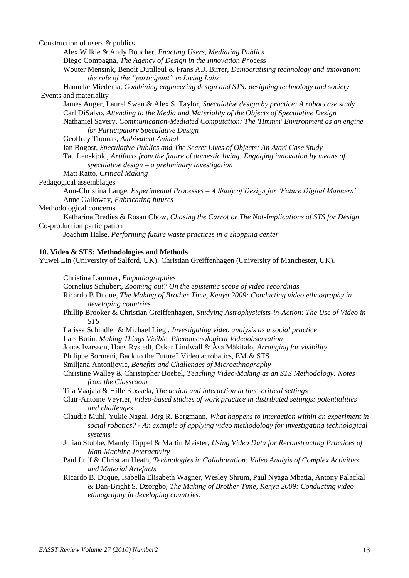Construction of users & publics

Alex Wilkie & Andy Boucher, *Enacting Users, Mediating Publics*

Diego Compagna, *The Agency of Design in the Innovation Pr*ocess

Wouter Mensink, Benoît Dutilleul & Frans A.J. Birrer, *Democratising technology and innovation: the role of the "participant" in Living Labs*

Hanneke Miedema, *Combining engineering design and STS: designing technology and society* Events and materiality

James Auger, Laurel Swan & Alex S. Taylor, *Speculative design by practice: A robot case study* Carl DiSalvo, *Attending to the Media and Materiality of the Objects of Speculative Design* Nathaniel Savery, *Communication-Mediated Computation: The 'Hmmm' Environment as an engine for Participatory Speculative Design*

Geoffrey Thomas, *Ambivalent Animal*

Ian Bogost, *Speculative Publics and The Secret Lives of Objects: An Atari Case Study*  Tau Lenskjold, *Artifacts from the future of domestic living: Engaging innovation by means of speculative design – a preliminary investigation*

Matt Ratto, *Critical Making*

Pedagogical assemblages

Ann-Christina Lange, *Experimental Processes – A Study of Design for "Future Digital Manners"* Anne Galloway, *Fabricating futures*

Methodological concerns

Katharina Bredies & Rosan Chow, *Chasing the Carrot or The Not-Implications of STS for Design* Co-production participation

Joachim Halse, *Performing future waste practices in a shopping center*

#### **10. Video & STS: Methodologies and Methods**

Yuwei Lin (University of Salford, UK); Christian Greiffenhagen (University of Manchester, UK).

- Christina Lammer, *Empathographies*
- Cornelius Schubert, *Zooming out? On the epistemic scope of video recordings*
- Ricardo B Duque, *The Making of Brother Time, Kenya 2009: Conducting video ethnography in developing countries*
- Phillip Brooker & Christian Greiffenhagen, *Studying Astrophysicists-in-Action: The Use of Video in STS*
- Larissa Schindler & Michael Liegl, *Investigating video analysis as a social practice*

Lars Botin, *Making Things Visible. Phenomenological Videoobservation*

Jonas Ivarsson, Hans Rystedt, Oskar Lindwall & Åsa Mäkitalo, *Arranging for visibility*

Philippe Sormani, Back to the Future? Video acrobatics, EM & STS

- Smiljana Antonijevic, *Benefits and Challenges of Microethnography*
- Christine Walley & Christopher Boebel, *Teaching Video-Making as an STS Methodology: Notes from the Classroom*

Tiia Vaajala & Hille Koskela, *The action and interaction in time-critical settings*

- Clair-Antoine Veyrier, *Video-based studies of work practice in distributed settings: potentialities and challenges*
- Claudia Muhl, Yukie Nagai, Jörg R. Bergmann, *What happens to interaction within an experiment in social robotics? - An example of applying video methodology for investigating technological systems*
- Julian Stubbe, Mandy Töppel & Martin Meister, *Using Video Data for Reconstructing Practices of Man-Machine-Interactivity*

Paul Luff & Christian Heath, *Technologies in Collaboration: Video Analyis of Complex Activities and Material Artefacts*

Ricardo B. Duque, Isabella Elisabeth Wagner, Wesley Shrum, Paul Nyaga Mbatia, Antony Palackal & Dan-Bright S. Dzorgbo, *The Making of Brother Time, Kenya 2009: Conducting video ethnography in developing countries.*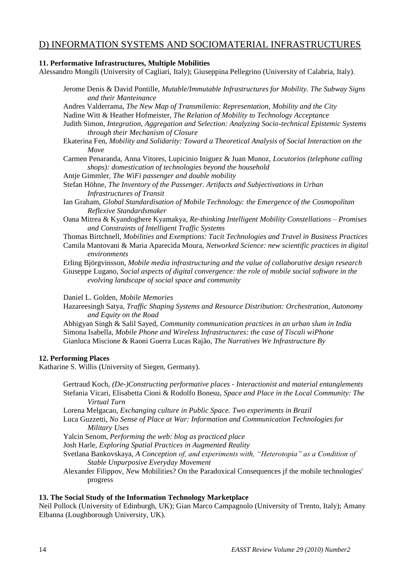### D) INFORMATION SYSTEMS AND SOCIOMATERIAL INFRASTRUCTURES

#### **11. Performative Infrastructures, Multiple Mobilities**

Alessandro Mongili (University of Cagliari, Italy); Giuseppina Pellegrino (University of Calabria, Italy).

| Jerome Denis & David Pontille, Mutable/Immutable Infrastructures for Mobility. The Subway Signs |  |
|-------------------------------------------------------------------------------------------------|--|
| and their Manteinance                                                                           |  |

Andres Valderrama, *The New Map of Transmilenio: Representation, Mobility and the City*

Nadine Witt & Heather Hofmeister, *The Relation of Mobility to Technology Acceptance*

Judith Simon, *Integration, Aggregation and Selection: Analyzing Socio-technical Epistemic Systems through their Mechanism of Closure*

Ekaterina Fen, *Mobility and Solidarity: Toward a Theoretical Analysis of Social Interaction on the Move*

Carmen Penaranda, Anna Vitores, Lupicinio Iniguez & Juan Munoz, *Locutorios (telephone calling shops): domestication of technologies beyond the household*

Antje Gimmler, *The WiFi passenger and double mobility*

Stefan Höhne, *The Inventory of the Passenger. Artifacts and Subjectivations in Urban Infrastructures of Transit*

Ian Graham, *Global Standardisation of Mobile Technology: the Emergence of the Cosmopolitan Reflexive Standardsmaker*

- Oana Mitrea & Kyandoghere Kyamakya, *Re-thinking Intelligent Mobility Constellations – Promises and Constraints of Intelligent Traffic Systems*
- Thomas Birtchnell, *Mobilities and Exemptions: Tacit Technologies and Travel in Business Practices* Camila Mantovani & Maria Aparecida Moura, *Networked Science: new scientific practices in digital environments*

Erling Björgvinsson, *Mobile media infrastructuring and the value of collaborative design research* Giuseppe Lugano, *Social aspects of digital convergence: the role of mobile social software in the evolving landscape of social space and community*

Daniel L. Golden, *Mobile Memories*

Hazareesingh Satya, *Traffic Shaping Systems and Resource Distribution: Orchestration, Autonomy and Equity on the Road*

Abhigyan Singh & Salil Sayed, *Community communication practices in an urban slum in India* Simona Isabella, *Mobile Phone and Wireless Infrastructures: the case of Tiscali wiPhone* Gianluca Miscione & Raoni Guerra Lucas Rajão, *The Narratives We Infrastructure By*

#### **12. Performing Places**

Katharine S. Willis (University of Siegen, Germany).

Gertraud Koch, *(De-)Constructing performative places - Interactionist and material entanglements* Stefania Vicari, Elisabetta Cioni & Rodolfo Bonesu, *Space and Place in the Local Community: The Virtual Turn*

Lorena Melgacao, *Exchanging culture in Public Space. Two experiments in Brazil*

Luca Guzzetti, *No Sense of Place at War: Information and Communication Technologies for Military Uses*

Yalcin Senom, *Performing the web: blog as practiced place*

Josh Harle, *Exploring Spatial Practices in Augmented Reality*

Svetlana Bankovskaya, *A Conception of, and experiments with, "Heterotopia" as a Condition of Stable Unpurposive Everyday Movement*

Alexander Filippov, *Ne*w Mobilities? On the Paradoxical Consequences jf the mobile technologies' progress

#### **13. The Social Study of the Information Technology Marketplace**

Neil Pollock (University of Edinburgh, UK); Gian Marco Campagnolo (University of Trento, Italy); Amany Elbanna (Loughborough University, UK).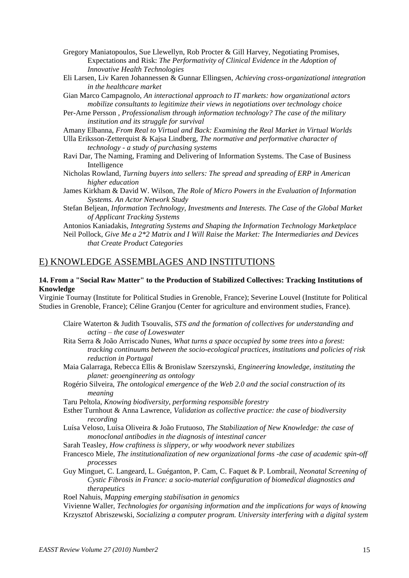- Gregory Maniatopoulos, Sue Llewellyn, Rob Procter & Gill Harvey, Negotiating Promises, Expectations and Risk: *The Performativity of Clinical Evidence in the Adoption of Innovative Health Technologies*
- Eli Larsen, Liv Karen Johannessen & Gunnar Ellingsen, *Achieving cross-organizational integration in the healthcare market*
- Gian Marco Campagnolo, *An interactional approach to IT markets: how organizational actors mobilize consultants to legitimize their views in negotiations over technology choice*
- Per-Arne Persson , *Professionalism through information technology? The case of the military institution and its struggle for survival*
- Amany Elbanna, *From Real to Virtual and Back: Examining the Real Market in Virtual Worlds*
- Ulla Eriksson-Zetterquist & Kajsa Lindberg, *The normative and performative character of technology - a study of purchasing systems*
- Ravi Dar, The Naming, Framing and Delivering of Information Systems. The Case of Business Intelligence
- Nicholas Rowland, *Turning buyers into sellers: The spread and spreading of ERP in American higher education*
- James Kirkham & David W. Wilson, *The Role of Micro Powers in the Evaluation of Information Systems. An Actor Network Study*
- Stefan Beljean, *Information Technology, Investments and Interests. The Case of the Global Market of Applicant Tracking Systems*

Antonios Kaniadakis, *Integrating Systems and Shaping the Information Technology Marketplace*

Neil Pollock, *Give Me a 2\*2 Matrix and I Will Raise the Market: The Intermediaries and Devices that Create Product Categories*

#### E) KNOWLEDGE ASSEMBLAGES AND INSTITUTIONS

#### **14. From a "Social Raw Matter" to the Production of Stabilized Collectives: Tracking Institutions of Knowledge**

Virginie Tournay (Institute for Political Studies in Grenoble, France); Severine Louvel (Institute for Political Studies in Grenoble, France); Céline Granjou (Center for agriculture and environment studies, France).

- Claire Waterton & Judith Tsouvalis, *STS and the formation of collectives for understanding and acting – the case of Loweswater*
- Rita Serra & João Arriscado Nunes, *What turns a space occupied by some trees into a forest: tracking continuums between the socio-ecological practices, institutions and policies of risk reduction in Portugal*
- Maia Galarraga, Rebecca Ellis & Bronislaw Szerszynski, *Engineering knowledge, instituting the planet: geoengineering as ontology*
- Rogério Silveira, *The ontological emergence of the Web 2.0 and the social construction of its meaning*

Taru Peltola, *Knowing biodiversity, performing responsible forestry*

- Esther Turnhout & Anna Lawrence, *Validation as collective practice: the case of biodiversity recording*
- Luísa Veloso, Luísa Oliveira & João Frutuoso, *The Stabilization of New Knowledge: the case of monoclonal antibodies in the diagnosis of intestinal cancer*
- Sarah Teasley, *How craftiness is slippery, or why woodwork never stabilizes*
- Francesco Miele, *The institutionalization of new organizational forms -the case of academic spin-off processes*
- Guy Minguet, C. Langeard, L. Guéganton, P. Cam, C. Faquet & P. Lombrail, *Neonatal Screening of Cystic Fibrosis in France: a socio-material configuration of biomedical diagnostics and therapeutics*

Roel Nahuis, *Mapping emerging stabilisation in genomics*

Vivienne Waller, *Technologies for organising information and the implications for ways of knowing* Krzysztof Abriszewski, *Socializing a computer program. University interfering with a digital system*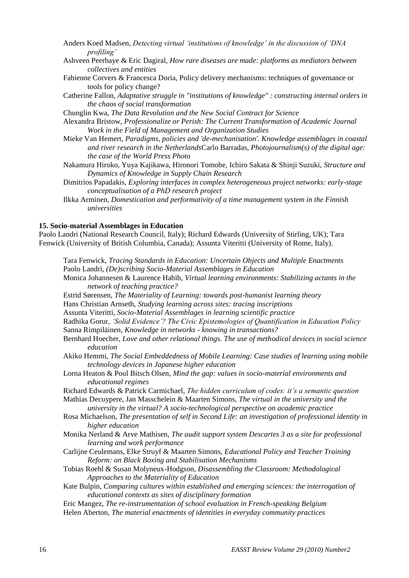| Anders Koed Madsen, Detecting virtual 'institutions of knowledge' in the discussion of 'DNA |  |  |
|---------------------------------------------------------------------------------------------|--|--|
| <i>profiling'</i>                                                                           |  |  |

- Ashveen Peerbaye & Eric Dagiral, *How rare diseases are made: platforms as mediators between collectives and entities*
- Fabienne Corvers & Francesca Doria, Policy delivery mechanisms: techniques of governance or tools for policy change?
- Catherine Fallon, *Adaptative struggle in "institutions of knowledge" : constructing internal orders in the chaos of social transformation*
- Chunglin Kwa, *The Data Revolution and the New Social Contract for Science*
- Alexandra Bristow, *Professionalize or Perish: The Current Transformation of Academic Journal Work in the Field of Management and Organization Studies*
- Mieke Van Hemert, *Paradigms, policies and 'de-mechanisation'. Knowledge assemblages in coastal and river research in the Netherlands*Carlo Barradas, *Photojournalism(s) of the digital age: the case of the World Press Photo*
- Nakamura Hiroko, Yuya Kajikawa, Hironori Tomobe, Ichiro Sakata & Shinji Suzuki, *Structure and Dynamics of Knowledge in Supply Chain Research*
- Dimitrios Papadakis, *Exploring interfaces in complex heterogeneous project networks: early-stage conceptualisation of a PhD research project*
- Ilkka Arminen, *Domestication and performativity of a time management system in the Finnish universities*

#### **15. Socio-material Assemblages in Education**

Paolo Landri (National Research Council, Italy); Richard Edwards (University of Stirling, UK); Tara Fenwick (University of British Columbia, Canada); Assunta Viteritti (University of Rome, Italy).

- Tara Fenwick, *Tracing Standards in Education: Uncertain Objects and Multiple Enactments* Paolo Landri, *(De)scribing Socio-Material Assemblages in Education*
- Monica Johannesen & Laurence Habib, *Virtual learning environments: Stabilizing actants in the network of teaching practice?*
- Estrid Sørensen, *The Materiality of Learning: towards post-humanist learning theory*
- Hans Christian Arnseth, *Studying learning across sites: tracing inscriptions*
- Assunta Viteritti, *Socio-Material Assemblages in learning scientific practice*
- Radhika Gorur, *"Solid Evidence"? The Civic Epistemologies of Quantification in Education Policy* Sanna Rimpiläinen, *Knowledge in networks - knowing in transactions?*
- Bernhard Hoecher, *Love and other relational things. The use of methodical devices in social science education*
- Akiko Hemmi, *The Social Embeddedness of Mobile Learning: Case studies of learning using mobile technology devices in Japanese higher education*
- Lorna Heaton & Poul Bitsch Olsen*, Mind the gap: values in socio-material environments and educational regimes*

Richard Edwards & Patrick Carmichael, *The hidden curriculum of codes: it"s a semantic question* Mathias Decuypere, Jan Masschelein & Maarten Simons, *The virtual in the university and the* 

*university in the virtual? A socio-technological perspective on academic practice*

- Rosa Michaelson, *The presentation of self in Second Life: an investigation of professional identity in higher education*
- Monika Nerland & Arve Mathisen, *The audit support system Descartes 3 as a site for professional learning and work performance*
- Carlijne Ceulemans, Elke Struyf & Maarten Simons, *Educational Policy and Teacher Training Reform: on Black Boxing and Stabilisation Mechanisms*
- Tobias Roehl & Susan Molyneux-Hodgson, *Disassembling the Classroom: Methodological Approaches to the Materiality of Education*
- Kate Bulpin, *Comparing cultures within established and emerging sciences: the interrogation of educational contexts as sites of disciplinary formation*
- Eric Mangez, *The re-instrumentation of school evaluation in French-speaking Belgium*
- Helen Aberton, *The material enactments of identities in everyday community practices*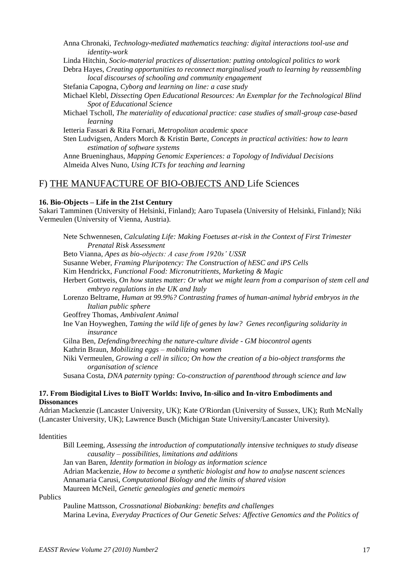Anna Chronaki, *Technology-mediated mathematics teaching: digital interactions tool-use and identity-work*

Linda Hitchin, *Socio-material practices of dissertation: putting ontological politics to work*

Debra Hayes, *Creating opportunities to reconnect marginalised youth to learning by reassembling local discourses of schooling and community engagement*

Stefania Capogna*, Cyborg and learning on line: a case study*

Michael Klebl, *Dissecting Open Educational Resources: An Exemplar for the Technological Blind Spot of Educational Science*

Michael Tscholl, *The materiality of educational practice: case studies of small-group case-based learning*

Ietteria Fassari & Rita Fornari, *Metropolitan academic space*

Sten Ludvigsen, Anders Morch & Kristin Børte, *Concepts in practical activities: how to learn estimation of software systems*

Anne Brueninghaus, *Mapping Genomic Experiences: a Topology of Individual Decisions* Almeida Alves Nuno, *Using ICTs for teaching and learning*

#### F) THE MANUFACTURE OF BIO-OBJECTS AND Life Sciences

#### **16. Bio-Objects – Life in the 21st Century**

Sakari Tamminen (University of Helsinki, Finland); Aaro Tupasela (University of Helsinki, Finland); Niki Vermeulen (University of Vienna, Austria).

Nete Schwennesen, *Calculating Life: Making Foetuses at-risk in the Context of First Trimester Prenatal Risk Assessment* Beto Vianna, *Apes as bio-objects: A case from 1920s" USSR* Susanne Weber, *Framing Pluripotency: The Construction of hESC and iPS Cells* Kim Hendrickx, *Functional Food: Micronutritients, Marketing & Magic* Herbert Gottweis, *On how states matter: Or what we might learn from a comparison of stem cell and embryo regulations in the UK and Italy* Lorenzo Beltrame, *Human at 99.9%? Contrasting frames of human-animal hybrid embryos in the Italian public sphere* Geoffrey Thomas, *Ambivalent Animal* Ine Van Hoyweghen, *Taming the wild life of genes by law? Genes reconfiguring solidarity in insurance* Gilna Ben, *Defending/breeching the nature-culture divide - GM biocontrol agents* Kathrin Braun, *Mobilizing eggs – mobilizing women* Niki Vermeulen, *Growing a cell in silico; On how the creation of a bio-object transforms the organisation of science* Susana Costa, *DNA paternity typing: Co-construction of parenthood through science and law*

#### **17. From Biodigital Lives to BioIT Worlds: Invivo, In-silico and In-vitro Embodiments and Dissonances**

Adrian Mackenzie (Lancaster University, UK); Kate O'Riordan (University of Sussex, UK); Ruth McNally (Lancaster University, UK); Lawrence Busch (Michigan State University/Lancaster University).

**Identities** 

Bill Leeming, *Assessing the introduction of computationally intensive techniques to study disease causality – possibilities, limitations and additions* Jan van Baren, *Identity formation in biology as information science* Adrian Mackenzie, *How to become a synthetic biologist and how to analyse nascent sciences* Annamaria Carusi, *Computational Biology and the limits of shared vision* Maureen McNeil, *Genetic genealogies and genetic memoirs*

Publics

Pauline Mattsson, *Crossnational Biobanking: benefits and challenges* Marina Levina, *Everyday Practices of Our Genetic Selves: Affective Genomics and the Politics of*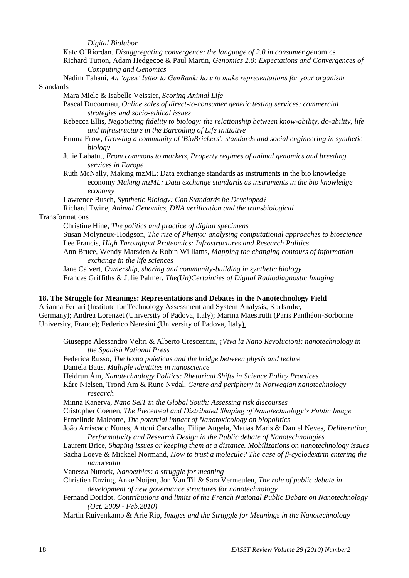*Digital Biolabor*

Kate O"Riordan, *Disaggregating convergence: the language of 2.0 in consumer ge*nomics

Richard Tutton, Adam Hedgecoe & Paul Martin, *Genomics 2.0: Expectations and Convergences of Computing and Genomics*

Nadim Tahani, *An "open" letter to GenBank: how to make representations for your organism* Standards

Mara Miele & Isabelle Veissier, *Scoring Animal Life*

Pascal Ducournau, *Online sales of direct-to-consumer genetic testing services: commercial strategies and socio-ethical issues*

Rebecca Ellis, *Negotiating fidelity to biology: the relationship between know-ability, do-ability, life and infrastructure in the Barcoding of Life Initiative*

Emma Frow, *Growing a community of 'BioBrickers': standards and social engineering in synthetic biology*

Julie Labatut, *From commons to markets, Property regimes of animal genomics and breeding services in Europe*

Ruth McNally, Making mzML: Data exchange standards as instruments in the bio knowledge economy *Making mzML: Data exchange standards as instruments in the bio knowledge economy*

Lawrence Busch, *Synthetic Biology: Can Standards be Developed*?

Richard Twine, *Animal Genomics, DNA verification and the transbiological* **Transformations** 

Christine Hine, *The politics and practice of digital specimens* Susan Molyneux-Hodgson, *The rise of Phenyx: analysing computational approaches to bioscience* Lee Francis, *High Throughput Proteomics: Infrastructures and Research Politics* Ann Bruce, Wendy Marsden & Robin Williams, *Mapping the changing contours of information exchange in the life sciences* Jane Calvert, *Ownership, sharing and community-building in synthetic biology*

Frances Griffiths & Julie Palmer, *The(Un)Certainties of Digital Radiodiagnostic Imaging*

#### **18. The Struggle for Meanings: Representations and Debates in the Nanotechnology Field**

Arianna Ferrari (Institute for Technology Assessment and System Analysis, Karlsruhe, Germany); Andrea Lorenzet (University of Padova, Italy); Marina Maestrutti (Paris Panthéon-Sorbonne University, France); Federico Neresini (University of Padova, Italy).

Giuseppe Alessandro Veltri & Alberto Crescentini, ¡*Viva la Nano Revolucion!: nanotechnology in the Spanish National Press* Federica Russo, *The homo poieticus and the bridge between physis and techne*

Daniela Baus, *Multiple identities in nanoscience*

Heidrun Åm, *Nanotechnology Politics: Rhetorical Shifts in Science Policy Practices*

Kåre Nielsen, Trond Åm & Rune Nydal, *Centre and periphery in Norwegian nanotechnology research*

Minna Kanerva, *Nano S&T in the Global South: Assessing risk discourses*

Cristopher Coenen, *The Piecemeal and Distributed Shaping of Nanotechnology"s Public Image* Ermelinde Malcotte, *The potential impact of Nanotoxicology on biopolitics*

João Arriscado Nunes, Antoni Carvalho, Filipe Angela, Matias Maris & Daniel Neves, *Deliberation, Performativity and Research Design in the Public debate of Nanotechnologies*

Laurent Brice, *Shaping issues or keeping them at a distance. Mobilizations on nanotechnology issues*

Sacha Loeve & Mickael Normand, *How to trust a molecule? The case of β-cyclodextrin entering the nanorealm*

Vanessa Nurock, *Nanoethics: a struggle for meaning*

Christien Enzing, Anke Noijen, Jon Van Til & Sara Vermeulen, *The role of public debate in development of new governance structures for nanotechnology*

Fernand Doridot, *Contributions and limits of the French National Public Debate on Nanotechnology (Oct. 2009 - Feb.2010)*

Martin Ruivenkamp & Arie Rip, *Images and the Struggle for Meanings in the Nanotechnology*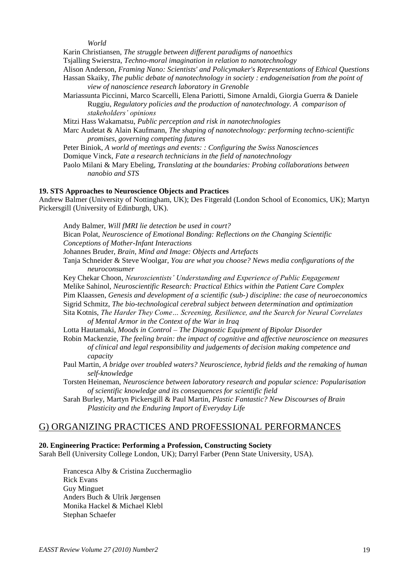*World*

Karin Christiansen, *The struggle between different paradigms of nanoethics*

Tsjalling Swierstra, *Techno-moral imagination in relation to nanotechnology*

Alison Anderson, *Framing Nano: Scientists' and Policymaker's Representations of Ethical Questions*

Hassan Skaiky, *The public debate of nanotechnology in society : endogeneisation from the point of view of nanoscience research laboratory in Grenoble*

Mariassunta Piccinni, Marco Scarcelli, Elena Pariotti, Simone Arnaldi, Giorgia Guerra & Daniele Ruggiu, *Regulatory policies and the production of nanotechnology. A comparison of stakeholders" opinions*

Mitzi Hass Wakamatsu, *Public perception and risk in nanotechnologies*

Marc Audetat & Alain Kaufmann, *The shaping of nanotechnology: performing techno-scientific promises, governing competing futures*

Peter Biniok, *A world of meetings and events: : Configuring the Swiss Nanosciences* Domique Vinck, *Fate a research technicians in the field of nanotechnology*

Paolo Milani & Mary Ebeling, *Translating at the boundaries: Probing collaborations between nanobio and STS*

#### **19. STS Approaches to Neuroscience Objects and Practices**

Andrew Balmer (University of Nottingham, UK); Des Fitgerald (London School of Economics, UK); Martyn Pickersgill (University of Edinburgh, UK).

Andy Balmer, *Will fMRI lie detection be used in court?*

Bican Polat, *Neuroscience of Emotional Bonding: Reflections on the Changing Scientific Conceptions of Mother-Infant Interactions*

Johannes Bruder, *Brain, Mind and Image: Objects and Artefacts*

Tanja Schneider & Steve Woolgar, *You are what you choose? News media configurations of the neuroconsumer*

Key Chekar Choon, *Neuroscientists" Understanding and Experience of Public Engagement* Melike Sahinol, *Neuroscientific Research: Practical Ethics within the Patient Care Complex* Pim Klaassen, *Genesis and development of a scientific (sub-) discipline: the case of neuroeconomics* Sigrid Schmitz, *The bio-technological cerebral subject between determination and optimization* Sita Kotnis, *The Harder They Come… Screening, Resilience, and the Search for Neural Correlates of Mental Armor in the Context of the War in Iraq*

Lotta Hautamaki, *Moods in Control – The Diagnostic Equipment of Bipolar Disorder*

Robin Mackenzie, *The feeling brain: the impact of cognitive and affective neuroscience on measures of clinical and legal responsibility and judgements of decision making competence and capacity*

Paul Martin, *A bridge over troubled waters? Neuroscience, hybrid fields and the remaking of human self-knowledge*

Torsten Heineman, *Neuroscience between laboratory research and popular science: Popularisation of scientific knowledge and its consequences for scientific field*

Sarah Burley, Martyn Pickersgill & Paul Martin, *Plastic Fantastic? New Discourses of Brain Plasticity and the Enduring Import of Everyday Life*

#### G) ORGANIZING PRACTICES AND PROFESSIONAL PERFORMANCES

#### **20. Engineering Practice: Performing a Profession, Constructing Society**

Sarah Bell (University College London, UK); Darryl Farber (Penn State University, USA).

Francesca Alby & Cristina Zucchermaglio Rick Evans Guy Minguet Anders Buch & Ulrik Jørgensen Monika Hackel & Michael Klebl Stephan Schaefer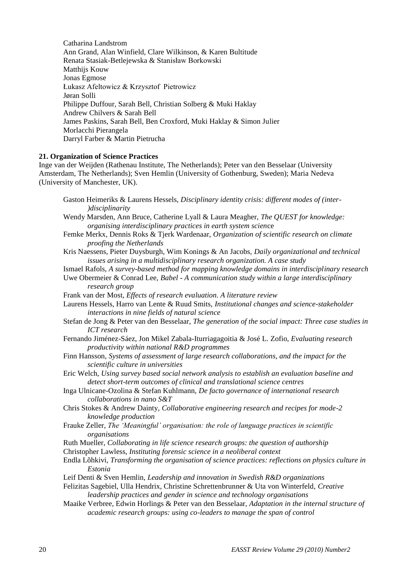Catharina Landstrom Ann Grand, Alan Winfield, Clare Wilkinson, & Karen Bultitude Renata Stasiak-Betlejewska & Stanisław Borkowski Matthijs Kouw Jonas Egmose Łukasz Afeltowicz & Krzysztof Pietrowicz Jøran Solli Philippe Duffour, Sarah Bell, Christian Solberg & Muki Haklay Andrew Chilvers & Sarah Bell James Paskins, Sarah Bell, Ben Croxford, Muki Haklay & Simon Julier Morlacchi Pierangela Darryl Farber & Martin Pietrucha

#### **21. Organization of Science Practices**

Inge van der Weijden (Rathenau Institute, The Netherlands); Peter van den Besselaar (University Amsterdam, The Netherlands); Sven Hemlin (University of Gothenburg, Sweden); Maria Nedeva (University of Manchester, UK).

Gaston Heimeriks & Laurens Hessels, *Disciplinary identity crisis: different modes of (inter- )disciplinarity* Wendy Marsden, Ann Bruce, Catherine Lyall & Laura Meagher, *The QUEST for knowledge:* 

*organising interdisciplinary practices in earth system scien*ce

- Femke Merkx, Dennis Roks & Tjerk Wardenaar, *Organization of scientific research on climate proofing the Netherlands*
- Kris Naessens, Pieter Duysburgh, Wim Konings & An Jacobs, *Daily organizational and technical issues arising in a multidisciplinary research organization. A case study*
- Ismael Rafols, *A survey-based method for mapping knowledge domains in interdisciplinary research*
- Uwe Obermeier & Conrad Lee, *Babel - A communication study within a large interdisciplinary research group*
- Frank van der Most, *Effects of research evaluation. A literature review*

Laurens Hessels, Harro van Lente & Ruud Smits, *Institutional changes and science-stakeholder interactions in nine fields of natural science*

- Stefan de Jong & Peter van den Besselaar, *The generation of the social impact: Three case studies in ICT research*
- Fernando Jiménez-Sáez, Jon Mikel Zabala-Iturriagagoitia & José L. Zofio, *Evaluating research productivity within national R&D programmes*
- Finn Hansson, *Systems of assessment of large research collaborations, and the impact for the scientific culture in universities*
- Eric Welch, *Using survey based social network analysis to establish an evaluation baseline and detect short-term outcomes of clinical and translational science centres*

Inga Ulnicane-Ozolina & Stefan Kuhlmann, *De facto governance of international research collaborations in nano S&T*

- Chris Stokes & Andrew Dainty, *Collaborative engineering research and recipes for mode-2 knowledge production*
- Frauke Zeller, *The "Meaningful" organisation: the role of language practices in scientific organisations*
- Ruth Mueller, *Collaborating in life science research groups: the question of authorship*
- Christopher Lawless, *Instituting forensic science in a neoliberal context*
- Endla Lõhkivi, *Transforming the organisation of science practices: reflections on physics culture in Estonia*
- Leif Denti & Sven Hemlin, *Leadership and innovation in Swedish R&D organizations*

Felizitas Sagebiel, Ulla Hendrix, Christine Schrettenbrunner & Uta von Winterfeld, *Creative leadership practices and gender in science and technology organisations*

Maaike Verbree, Edwin Horlings & Peter van den Besselaar, *Adaptation in the internal structure of academic research groups: using co-leaders to manage the span of control*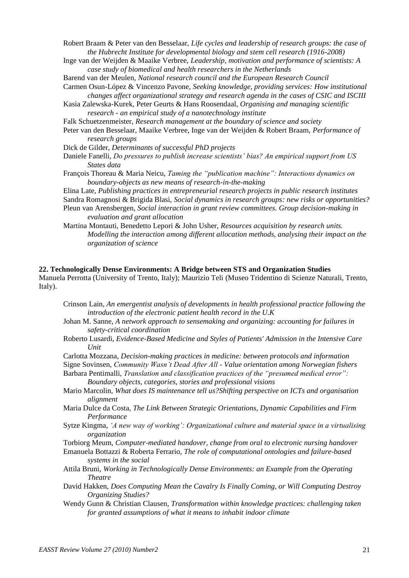Robert Braam & Peter van den Besselaar, *Life cycles and leadership of research groups: the case of the Hubrecht Institute for developmental biology and stem cell research (1916-2008)*

- Inge van der Weijden & Maaike Verbree, *Leadership, motivation and performance of scientists: A case study of biomedical and health researchers in the Netherlands*
- Barend van der Meulen, *National research council and the European Research Council* Carmen Osun-López & Vincenzo Pavone, *Seeking knowledge, providing services: How institutional* 
	- *changes affect organizational strategy and research agenda in the cases of CSIC and ISCIII*
- Kasia Zalewska-Kurek, Peter Geurts & Hans Roosendaal, *Organising and managing scientific research - an empirical study of a nanotechnology institute*
- Falk Schuetzenmeister, *Research management at the boundary of science and society*
- Peter van den Besselaar, Maaike Verbree, Inge van der Weijden & Robert Braam, *Performance of research groups*
- Dick de Gilder, *Determinants of successful PhD projects*
- Daniele Fanelli, *Do pressures to publish increase scientists" bias? An empirical support from US States data*
- François Thoreau & Maria Neicu, *Taming the "publication machine": Interactions dynamics on boundary-objects as new means of research-in-the-making*
- Elina Late, *Publishing practices in entrepreneurial research projects in public research institutes* Sandra Romagnosi & Brigida Blasi, *Social dynamics in research groups: new risks or opportunities?* Pleun van Arensbergen, *Social interaction in grant review committees. Group decision-making in evaluation and grant allocation*
- Martina Montauti, Benedetto Lepori & John Usher, *Resources acquisition by research units. Modelling the interaction among different allocation methods, analysing their impact on the organization of science*

#### **22. Technologically Dense Environments: A Bridge between STS and Organization Studies**

Manuela Perrotta (University of Trento, Italy); Maurizio Teli (Museo Tridentino di Scienze Naturali, Trento, Italy).

- Crinson Lain, *An emergentist analysis of developments in health professional practice following the introduction of the electronic patient health record in the U.K*
- Johan M. Sanne, *A network approach to sensemaking and organizing: accounting for failures in safety-critical coordination*
- Roberto Lusardi, *Evidence-Based Medicine and Styles of Patients' Admission in the Intensive Care Unit*
- Carlotta Mozzana, *Decision-making practices in medicine: between protocols and information*
- Signe Sovinsen, *Community Wasn"t Dead After All - Value orientation among Norwegian fishers*

Barbara Pentimalli, *Translation and classification practices of the "presumed medical error": Boundary objects, categories, stories and professional visions*

- Mario Marcolin, *What does IS maintenance tell us?Shifting perspective on ICTs and organisation alignment*
- Maria Dulce da Costa, *The Link Between Strategic Orientations, Dynamic Capabilities and Firm Performance*
- Sytze Kingma, *"A new way of working": Organizational culture and material space in a virtualising organization*

Torbiorg Meum, *Computer-mediated handover, change from oral to electronic nursing handover*

- Emanuela Bottazzi & Roberta Ferrario, *The role of computational ontologies and failure-based systems in the social*
- Attila Bruni, *Working in Technologically Dense Environments: an Example from the Operating Theatre*
- David Hakken, *Does Computing Mean the Cavalry Is Finally Coming, or Will Computing Destroy Organizing Studies?*

Wendy Gunn & Christian Clausen, *Transformation within knowledge practices: challenging taken for granted assumptions of what it means to inhabit indoor climate*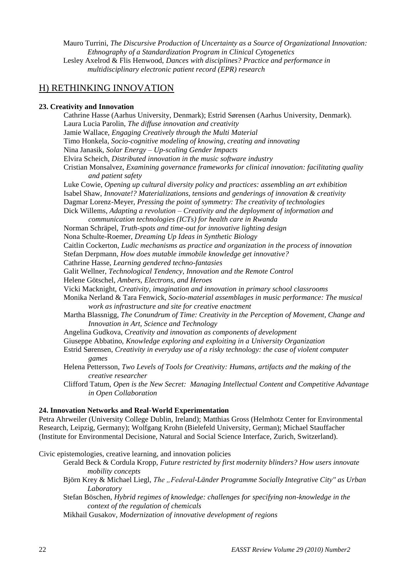Mauro Turrini, *The Discursive Production of Uncertainty as a Source of Organizational Innovation: Ethnography of a Standardization Program in Clinical Cytogenetics* Lesley Axelrod & Flis Henwood, *Dances with disciplines? Practice and performance in* 

*multidisciplinary electronic patient record (EPR) research*

#### H) RETHINKING INNOVATION

#### **23. Creativity and Innovation**

Cathrine Hasse (Aarhus University, Denmark); Estrid Sørensen (Aarhus University, Denmark). Laura Lucia Parolin, *The diffuse innovation and creativity* Jamie Wallace, *Engaging Creatively through the Multi Material* Timo Honkela, *Socio-cognitive modeling of knowing, creating and innovating* Nina Janasik, *Solar Energy – Up-scaling Gender Impacts* Elvira Scheich, *Distributed innovation in the music software industry* Cristian Monsalvez, *Examining governance frameworks for clinical innovation: facilitating quality and patient safety* Luke Cowie, *Opening up cultural diversity policy and practices: assembling an art exhibition* Isabel Shaw, *Innovate!? Materializations, tensions and genderings of innovation & creativity* Dagmar Lorenz-Meyer, *Pressing the point of symmetry: The creativity of technologies* Dick Willems, *Adapting a revolution – Creativity and the deployment of information and communication technologies (ICTs) for health care in Rwanda* Norman Schräpel, *Truth-spots and time-out for innovative lighting design* Nona Schulte-Roemer, *Dreaming Up Ideas in Synthetic Biology* Caitlin Cockerton, *Ludic mechanisms as practice and organization in the process of innovation* Stefan Derpmann, *How does mutable immobile knowledge get innovative?* Cathrine Hasse, *Learning gendered techno-fantasies* Galit Wellner, *Technological Tendency, Innovation and the Remote Control* Helene Götschel, *Ambers, Electrons, and Heroes* Vicki Macknight, *Creativity, imagination and innovation in primary school classrooms* Monika Nerland & Tara Fenwick, *Socio-material assemblages in music performance: The musical work as infrastructure and site for creative enactment* Martha Blassnigg, *The Conundrum of Time: Creativity in the Perception of Movement, Change and Innovation in Art, Science and Technology* Angelina Gudkova, *Creativity and innovation as components of development* Giuseppe Abbatino, *Knowledge exploring and exploiting in a University Organization* Estrid Sørensen, *Creativity in everyday use of a risky technology: the case of violent computer games* Helena Pettersson, *Two Levels of Tools for Creativity: Humans, artifacts and the making of the creative researcher* Clifford Tatum, *Open is the New Secret: Managing Intellectual Content and Competitive Advantage in Open Collaboration* **24. Innovation Networks and Real-World Experimentation**

### Petra Ahrweiler (University College Dublin, Ireland); Matthias Gross (Helmhotz Center for Environmental Research, Leipzig, Germany); Wolfgang Krohn (Bielefeld University, German); Michael Stauffacher

(Institute for Environmental Decisione, Natural and Social Science Interface, Zurich, Switzerland).

Civic epistemologies, creative learning, and innovation policies

- Gerald Beck & Cordula Kropp, *Future restricted by first modernity blinders? How users innovate mobility concepts*
- Björn Krey & Michael Liegl, *The "Federal-Länder Programme Socially Integrative City" as Urban Laboratory*

Stefan Böschen, *Hybrid regimes of knowledge: challenges for specifying non-knowledge in the context of the regulation of chemicals*

Mikhail Gusakov, *Modernization of innovative development of regions*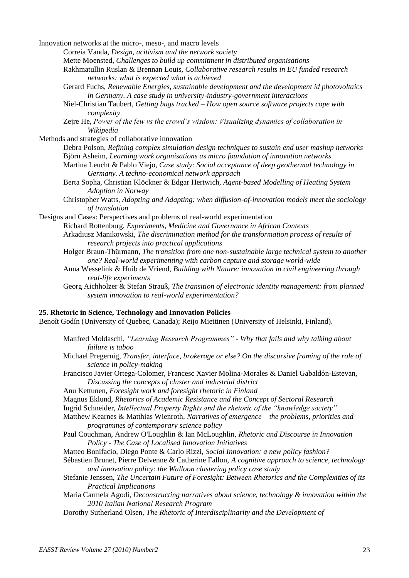Innovation networks at the micro-, meso-, and macro levels

Correia Vanda, *Design, acitivism and the network society*

Mette Moensted, *Challenges to build up commitment in distributed organisations*

Rakhmatullin Ruslan & Brennan Louis, *Collaborative research results in EU funded research networks: what is expected what is achieved*

- Gerard Fuchs, *Renewable Energies, sustainable development and the development id photovoltaics in Germany. A case study in university-industry-government interactions*
- Niel-Christian Taubert, *Getting bugs tracked – How open source software projects cope with complexity*

Zejre He, *Power of the few vs the crowd"s wisdom: Visualizing dynamics of collaboration in Wikipedia*

Methods and strategies of collaborative innovation

- Debra Polson, *Refining complex simulation design techniques to sustain end user mashup networks* Björn Asheim, *Learning work organisations as micro foundation of innovation networks*
- Martina Leucht & Pablo Viejo, *Case study: Social acceptance of deep geothermal technology in Germany. A techno-economical network approach*
- Berta Sopha, Christian Klöckner & Edgar Hertwich, *Agent-based Modelling of Heating System Adoption in Norway*
- Christopher Watts, *Adopting and Adapting: when diffusion-of-innovation models meet the sociology of translation*

Designs and Cases: Perspectives and problems of real-world experimentation

Richard Rottenburg, *Experiments, Medicine and Governance in African Contexts* Arkadiusz Manikowski, *The discrimination method for the transformation process of results of research projects into practical applications*

- Holger Braun-Thürmann, *The transition from one non-sustainable large technical system to another one? Real-world experimenting with carbon capture and storage world-wide*
- Anna Wesselink & Huib de Vriend, *Building with Nature: innovation in civil engineering through real-life experiments*
- Georg Aichholzer & Stefan Strauß, *The transition of electronic identity management: from planned system innovation to real-world experimentation?*

#### **25. Rhetoric in Science, Technology and Innovation Policies**

Benoît Godín (University of Quebec, Canada); Reijo Miettinen (University of Helsinki, Finland).

- Manfred Moldaschl, *"Learning Research Programmes" - Why that fails and why talking about failure is taboo*
- Michael Pregernig, *Transfer, interface, brokerage or else? On the discursive framing of the role of science in policy-making*
- Francisco Javier Ortega-Colomer, Francesc Xavier Molina-Morales & Daniel Gabaldón-Estevan, *Discussing the concepts of cluster and industrial district*
- Anu Kettunen, *Foresight work and foresight rhetoric in Finland*
- Magnus Eklund, *Rhetorics of Academic Resistance and the Concept of Sectoral Research*

Ingrid Schneider, *Intellectual Property Rights and the rhetoric of the "knowledge society"* 

- Matthew Kearnes & Matthias Wienroth, *Narratives of emergence – the problems, priorities and programmes of contemporary science policy*
- Paul Couchman, Andrew O'Loughlin & Ian McLoughlin, *Rhetoric and Discourse in Innovation Policy - The Case of Localised Innovation Initiatives*
- Matteo Bonifacio, Diego Ponte & Carlo Rizzi, *Social Innovation: a new policy fashion?*
- Sébastien Brunet, Pierre Delvenne & Catherine Fallon, *A cognitive approach to science, technology and innovation policy: the Walloon clustering policy case study*
- Stefanie Jenssen, *The Uncertain Future of Foresight: Between Rhetorics and the Complexities of its Practical Implications*
- Maria Carmela Agodi, *Deconstructing narratives about science, technology & innovation within the 2010 Italian National Research Program*
- Dorothy Sutherland Olsen, *The Rhetoric of Interdisciplinarity and the Development of*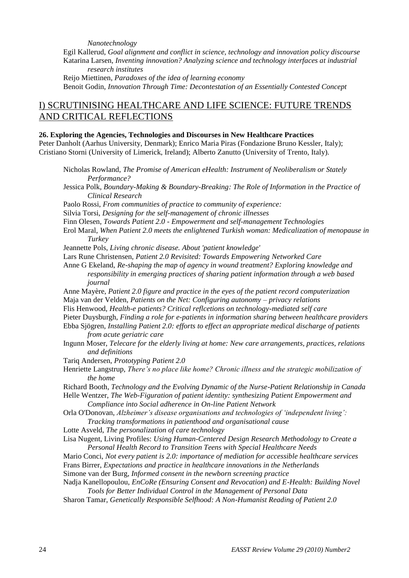*Nanotechnology*

Egil Kallerud, *Goal alignment and conflict in science, technology and innovation policy discourse* Katarina Larsen, *Inventing innovation? Analyzing science and technology interfaces at industrial research institutes*

Reijo Miettinen, *Paradoxes of the idea of learning economy* Benoit Godin, *Innovation Through Time: Decontestation of an Essentially Contested Concept*

#### I) SCRUTINISING HEALTHCARE AND LIFE SCIENCE: FUTURE TRENDS AND CRITICAL REFLECTIONS

#### **26. Exploring the Agencies, Technologies and Discourses in New Healthcare Practices**

Peter Danholt (Aarhus University, Denmark); Enrico Maria Piras (Fondazione Bruno Kessler, Italy); Cristiano Storni (University of Limerick, Ireland); Alberto Zanutto (University of Trento, Italy).

- Nicholas Rowland, *The Promise of American eHealth: Instrument of Neoliberalism or Stately Performance?*
- Jessica Polk, *Boundary-Making & Boundary-Breaking: The Role of Information in the Practice of Clinical Research*
- Paolo Rossi, *From communities of practice to community of experience:*
- Silvia Torsi, *Designing for the self-management of chronic illnesses*
- Finn Olesen, *Towards Patient 2.0 - Empowerment and self-management Technologies*
- Erol Maral, *When Patient 2.0 meets the enlightened Turkish woman: Medicalization of menopause in Turkey*
- Jeannette Pols, *Living chronic disease. About 'patient knowledge'*
- Lars Rune Christensen, *Patient 2.0 Revisited: Towards Empowering Networked Care*

Anne G Ekeland, *Re-shaping the map of agency in wound treatment? Exploring knowledge and responsibility in emerging practices of sharing patient information through a web based journal*

- Anne Mayère, *Patient 2.0 figure and practice in the eyes of the patient record computerization* Maja van der Velden, *Patients on the Net: Configuring autonomy – privacy relations*
- Flis Henwood, *Health-e patients? Critical reflcetions on technology-mediated self care*
- Pieter Duysburgh, *Finding a role for e-patients in information sharing between healthcare providers*
- Ebba Sjögren, *Installing Patient 2.0: efforts to effect an appropriate medical discharge of patients from acute geriatric care*
- Ingunn Moser, *Telecare for the elderly living at home: New care arrangements, practices, relations and definitions*
- Tariq Andersen, *Prototyping Patient 2.0*
- Henriette Langstrup, *There"s no place like home? Chronic illness and the strategic mobilization of the home*

Richard Booth, *Technology and the Evolving Dynamic of the Nurse-Patient Relationship in Canada*

Helle Wentzer, *The Web-Figuration of patient identity: synthesizing Patient Empowerment and Compliance into Social adherence in On-line Patient Network*

- Orla O'Donovan, *Alzheimer"s disease organisations and technologies of "independent living": Tracking transformations in patienthood and organisational cause*
- Lotte Asveld, *The personalization of care technology*
- Lisa Nugent, Living Profiles: *Using Human-Centered Design Research Methodology to Create a Personal Health Record to Transition Teens with Special Healthcare Needs*
- Mario Conci, *Not every patient is 2.0: importance of mediation for accessible healthcare services* Frans Birrer, *Expectations and practice in healthcare innovations in the Netherlands*
- Simone van der Burg, *Informed consent in the newborn screening practice*

Nadja Kanellopoulou, *EnCoRe (Ensuring Consent and Revocation) and E-Health: Building Novel Tools for Better Individual Control in the Management of Personal Data*

Sharon Tamar, *Genetically Responsible Selfhood: A Non-Humanist Reading of Patient 2.0*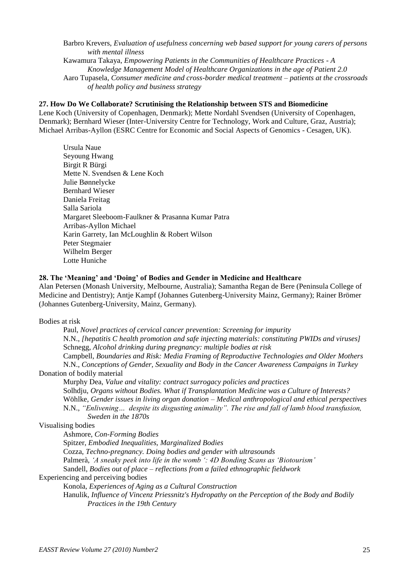Barbro Krevers, *Evaluation of usefulness concerning web based support for young carers of persons with mental illness* Kawamura Takaya, *Empowering Patients in the Communities of Healthcare Practices - A Knowledge Management Model of Healthcare Organizations in the age of Patient 2.0* Aaro Tupasela, *Consumer medicine and cross-border medical treatment – patients at the crossroads of health policy and business strategy*

#### **27. How Do We Collaborate? Scrutinising the Relationship between STS and Biomedicine**

Lene Koch (University of Copenhagen, Denmark); Mette Nordahl Svendsen (University of Copenhagen, Denmark); Bernhard Wieser (Inter-University Centre for Technology, Work and Culture, Graz, Austria); Michael Arribas-Ayllon (ESRC Centre for Economic and Social Aspects of Genomics - Cesagen, UK).

Ursula Naue Seyoung Hwang Birgit R Bürgi Mette N. Svendsen & Lene Koch Julie Bønnelycke Bernhard Wieser Daniela Freitag Salla Sariola Margaret Sleeboom-Faulkner & Prasanna Kumar Patra Arribas-Ayllon Michael Karin Garrety, Ian McLoughlin & Robert Wilson Peter Stegmaier Wilhelm Berger Lotte Huniche

#### **28. The 'Meaning' and 'Doing' of Bodies and Gender in Medicine and Healthcare**

Alan Petersen (Monash University, Melbourne, Australia); Samantha Regan de Bere (Peninsula College of Medicine and Dentistry); Antje Kampf (Johannes Gutenberg-University Mainz, Germany); Rainer Brömer (Johannes Gutenberg-University, Mainz, Germany).

Bodies at risk

Paul, *Novel practices of cervical cancer prevention: Screening for impurity* N.N., *[hepatitis C health promotion and safe injecting materials: constituting PWIDs and viruses]* Schnegg, *Alcohol drinking during pregnancy: multiple bodies at risk* Campbell, *Boundaries and Risk: Media Framing of Reproductive Technologies and Older Mothers*

N.N., *Conceptions of Gender, Sexuality and Body in the Cancer Awareness Campaigns in Turkey* Donation of bodily material

Murphy Dea, *Value and vitality: contract surrogacy policies and practices* Solhdju, *Organs without Bodies. What if Transplantation Medicine was a Culture of Interests?* Wöhlke, *Gender issues in living organ donation – Medical anthropological and ethical perspectives* N.N., *"Enlivening… despite its disgusting animality". The rise and fall of lamb blood transfusion, Sweden in the 1870s*

#### Visualising bodies

Ashmore, *Con-Forming Bodies* Spitzer, *Embodied Inequalities, Marginalized Bodies* Cozza, *Techno-pregnancy. Doing bodies and gender with ultrasounds* Palmerà, *"A sneaky peek into life in the womb ": 4D Bonding Scans as "Biotourism"* Sandell, *Bodies out of place – reflections from a failed ethnographic fieldwork*

Experiencing and perceiving bodies

Konola, *Experiences of Aging as a Cultural Construction*

Hanulik, *Influence of Vincenz Priessnitz's Hydropathy on the Perception of the Body and Bodily Practices in the 19th Century*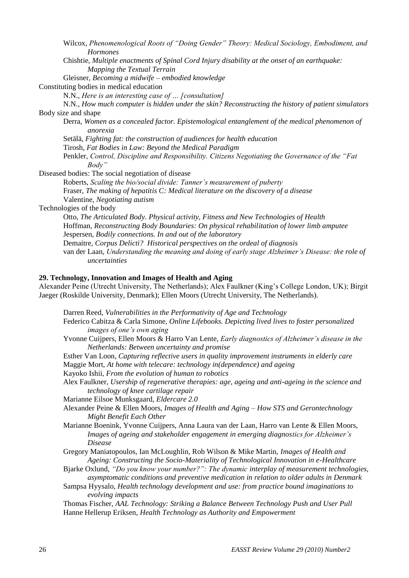Wilcox, *Phenomenological Roots of "Doing Gender" Theory: Medical Sociology, Embodiment, and Hormones*

Chishtie, *Multiple enactments of Spinal Cord Injury disability at the onset of an earthquake: Mapping the Textual Terrain*

Gleisner, *Becoming a midwife – embodied knowledge* Constituting bodies in medical education

N.N., *Here is an interesting case of … [consultation]*

N.N., *How much computer is hidden under the skin? Reconstructing the history of patient simulators* Body size and shape

Derra, *Women as a concealed factor. Epistemological entanglement of the medical phenomenon of anorexia*

Setälä, *Fighting fat: the construction of audiences for health education*

Tirosh, *Fat Bodies in Law: Beyond the Medical Paradigm*

Penkler, *Control, Discipline and Responsibility. Citizens Negotiating the Governance of the "Fat Body"*

Diseased bodies: The social negotiation of disease

Roberts, *Scaling the bio/social divide: Tanner"s measurement of puberty* Fraser, *The making of hepatitis C: Medical literature on the discovery of a disease* Valentine, *Negotiating autism*

Technologies of the body

Otto, *The Articulated Body. Physical activity, Fitness and New Technologies of Health* Hoffman, *Reconstructing Body Boundaries: On physical rehabilitation of lower limb amputee* Jespersen, *Bodily connections. In and out of the laboratory*

Demaitre, *Corpus Delicti? Historical perspectives on the ordeal of diagnosis*

van der Laan, *Understanding the meaning and doing of early stage Alzheimer"s Disease: the role of uncertainties*

#### **29. Technology, Innovation and Images of Health and Aging**

Alexander Peine (Utrecht University, The Netherlands); Alex Faulkner (King"s College London, UK); Birgit Jaeger (Roskilde University, Denmark); Ellen Moors (Utrecht University, The Netherlands).

Darren Reed, *Vulnerabilities in the Performativity of Age and Technology*

- Federico Cabitza & Carla Simone, *Online Lifebooks. Depicting lived lives to foster personalized images of one"s own aging*
- Yvonne Cuijpers, Ellen Moors & Harro Van Lente, *Early diagnostics of Alzheimer"s disease in the Netherlands: Between uncertainty and promise*

Esther Van Loon, *Capturing reflective users in quality improvement instruments in elderly care* Maggie Mort, *At home with telecare: technology in(dependence) and ageing*

Kayoko Ishii, *From the evolution of human to robotics*

Alex Faulkner, *Usership of regenerative therapies: age, ageing and anti-ageing in the science and technology of knee cartilage repair*

Marianne Eilsoe Munksgaard, *Eldercare 2.0*

- Alexander Peine & Ellen Moors, *Images of Health and Aging – How STS and Gerontechnology Might Benefit Each Other*
- Marianne Boenink, Yvonne Cuijpers, Anna Laura van der Laan, Harro van Lente & Ellen Moors, *Images of ageing and stakeholder engagement in emerging diagnostics for Alzheimer"s Disease*
- Gregory Maniatopoulos, Ian McLoughlin, Rob Wilson & Mike Martin, *Images of Health and Ageing: Constructing the Socio-Materiality of Technological Innovation in e-Healthcare*
- Bjarke Oxlund, *"Do you know your number?": The dynamic interplay of measurement technologies, asymptomatic conditions and preventive medication in relation to older adults in Denmark*
- Sampsa Hyysalo, *Health technology development and use: from practice bound imaginations to evolving impacts*

Thomas Fischer, *AAL Technology: Striking a Balance Between Technology Push and User Pull* Hanne Hellerup Eriksen, *Health Technology as Authority and Empowerment*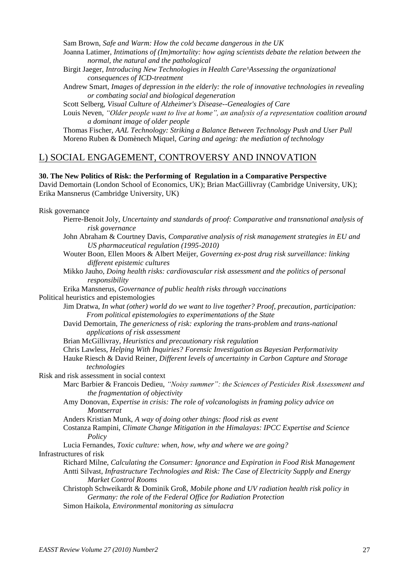Sam Brown, *Safe and Warm: How the cold became dangerous in the UK*

- Joanna Latimer, *Intimations of (Im)mortality: how aging scientists debate the relation between the normal, the natural and the pathological*
- Birgit Jaeger, *Introducing New Technologies in Health Care^Assessing the organizational consequences of ICD-treatment*
- Andrew Smart, *Images of depression in the elderly: the role of innovative technologies in revealing or combating social and biological degeneration*

Scott Selberg, *Visual Culture of Alzheimer's Disease--Genealogies of Care*

Louis Neven, *"Older people want to live at home", an analysis of a representation coalition around a dominant image of older people*

Thomas Fischer, *AAL Technology: Striking a Balance Between Technology Push and User Pull* Moreno Ruben & Domènech Miquel, *Caring and ageing: the mediation of technology*

#### L) SOCIAL ENGAGEMENT, CONTROVERSY AND INNOVATION

#### **30. The New Politics of Risk: the Performing of Regulation in a Comparative Perspective**

David Demortain (London School of Economics, UK); Brian MacGillivray (Cambridge University, UK); Erika Mansnerus (Cambridge University, UK)

Risk governance

- Pierre-Benoit Joly, *Uncertainty and standards of proof: Comparative and transnational analysis of risk governance*
- John Abraham & Courtney Davis, *Comparative analysis of risk management strategies in EU and US pharmaceutical regulation (1995-2010)*
- Wouter Boon, Ellen Moors & Albert Meijer, *Governing ex-post drug risk surveillance: linking different epistemic cultures*
- Mikko Jauho, *Doing health risks: cardiovascular risk assessment and the politics of personal responsibility*

Erika Mansnerus, *Governance of public health risks through vaccinations*

Political heuristics and epistemologies

Jim Dratwa, *In what (other) world do we want to live together? Proof, precaution, participation: From political epistemologies to experimentations of the State*

David Demortain, *The genericness of risk: exploring the trans-problem and trans-national applications of risk assessment*

Brian McGillivray, *Heuristics and precautionary risk regulation*

Chris Lawless, *Helping With Inquiries? Forensic Investigation as Bayesian Performativity*

Hauke Riesch & David Reiner, *Different levels of uncertainty in Carbon Capture and Storage technologies*

Risk and risk assessment in social context

- Marc Barbier & Francois Dedieu, *"Noisy summer": the Sciences of Pesticides Risk Assessment and the fragmentation of objectivity*
- Amy Donovan, *Expertise in crisis: The role of volcanologists in framing policy advice on Montserrat*

Anders Kristian Munk, *A way of doing other things: flood risk as event*

- Costanza Rampini, *Climate Change Mitigation in the Himalayas: IPCC Expertise and Science Policy*
- Lucia Fernandes, *Toxic culture: when, how, why and where we are going?*

Infrastructures of risk

- Richard Milne, *Calculating the Consumer: Ignorance and Expiration in Food Risk Management* Antti Silvast, *Infrastructure Technologies and Risk: The Case of Electricity Supply and Energy Market Control Rooms*
- Christoph Schweikardt & Dominik Groß, *Mobile phone and UV radiation health risk policy in Germany: the role of the Federal Office for Radiation Protection*
- Simon Haikola, *Environmental monitoring as simulacra*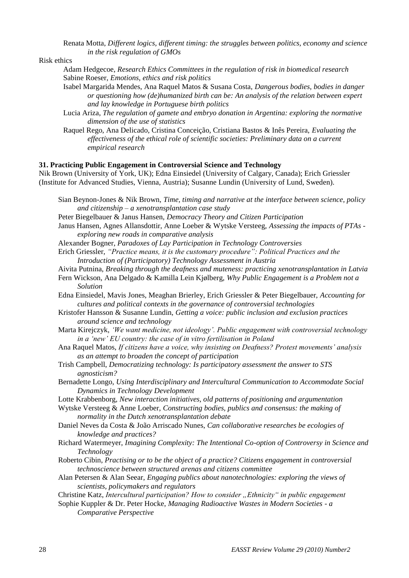Renata Motta, *Different logics, different timing: the struggles between politics, economy and science in the risk regulation of GMOs*

Risk ethics

- Adam Hedgecoe, *Research Ethics Committees in the regulation of risk in biomedical research* Sabine Roeser, *Emotions, ethics and risk politics*
- Isabel Margarida Mendes, Ana Raquel Matos & Susana Costa, *Dangerous bodies, bodies in danger or questioning how (de)humanized birth can be: An analysis of the relation between expert and lay knowledge in Portuguese birth politics*
- Lucia Ariza, *The regulation of gamete and embryo donation in Argentina: exploring the normative dimension of the use of statistics*
- Raquel Rego, Ana Delicado, Cristina Conceição, Cristiana Bastos & Inês Pereira, *Evaluating the effectiveness of the ethical role of scientific societies: Preliminary data on a current empirical research*

#### **31. Practicing Public Engagement in Controversial Science and Technology**

Nik Brown (University of York, UK); Edna Einsiedel (University of Calgary, Canada); Erich Griessler (Institute for Advanced Studies, Vienna, Austria); Susanne Lundin (University of Lund, Sweden).

- Sian Beynon-Jones & Nik Brown, *Time, timing and narrative at the interface between science, policy and citizenship – a xenotransplantation case study*
- Peter Biegelbauer & Janus Hansen, *Democracy Theory and Citizen Participation*
- Janus Hansen, Agnes Allansdottir, Anne Loeber & Wytske Versteeg, *Assessing the impacts of PTAs exploring new roads in comparative analysis*
- Alexander Bogner, *Paradoxes of Lay Participation in Technology Controversies*
- Erich Griessler, *"Practice means, it is the customary procedure": Political Practices and the Introduction of (Participatory) Technology Assessment in Austria*
- Aivita Putnina, *Breaking through the deafness and muteness: practicing xenotransplantation in Latvia*
- Fern Wickson, Ana Delgado & Kamilla Lein Kjølberg, *Why Public Engagement is a Problem not a Solution*
- Edna Einsiedel, Mavis Jones, Meaghan Brierley, Erich Griessler & Peter Biegelbauer, *Accounting for cultures and political contexts in the governance of controversial technologies*
- Kristofer Hansson & Susanne Lundin, *Getting a voice: public inclusion and exclusion practices around science and technology*
- Marta Kirejczyk, *"We want medicine, not ideology". Public engagement with controversial technology in a "new" EU country: the case of in vitro fertilisation in Poland*
- Ana Raquel Matos, *If citizens have a voice, why insisting on Deafness? Protest movements" analysis as an attempt to broaden the concept of participation*
- Trish Campbell, *Democratizing technology: Is participatory assessment the answer to STS agnosticism?*
- Bernadette Longo, *Using Interdisciplinary and Intercultural Communication to Accommodate Social Dynamics in Technology Development*
- Lotte Krabbenborg, *New interaction initiatives, old patterns of positioning and argumentation*
- Wytske Versteeg & Anne Loeber, *Constructing bodies, publics and consensus: the making of normality in the Dutch xenotransplantation debate*
- Daniel Neves da Costa & João Arriscado Nunes, *Can collaborative researches be ecologies of knowledge and practices?*
- Richard Watermeyer, *Imagining Complexity: The Intentional Co-option of Controversy in Science and Technology*
- Roberto Cibin, *Practising or to be the object of a practice? Citizens engagement in controversial technoscience between structured arenas and citizens committee*
- Alan Petersen & Alan Seear, *Engaging publics about nanotechnologies: exploring the views of scientists, policymakers and regulators*
- Christine Katz, *Intercultural participation? How to consider "Ethnicity" in public engagement*
- Sophie Kuppler & Dr. Peter Hocke, *Managing Radioactive Wastes in Modern Societies - a Comparative Perspective*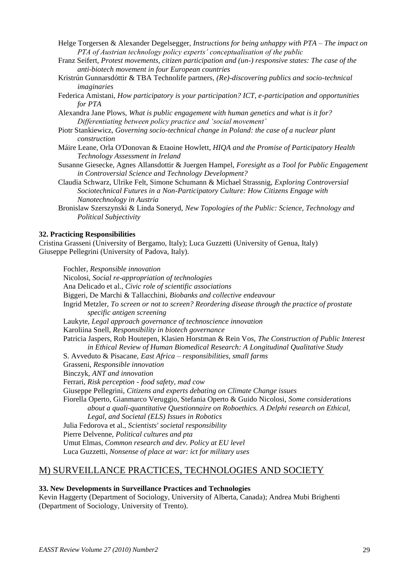- Helge Torgersen & Alexander Degelsegger, *Instructions for being unhappy with PTA – The impact on PTA of Austrian technology policy experts" conceptualisation of the public*
- Franz Seifert, *Protest movements, citizen participation and (un-) responsive states: The case of the anti-biotech movement in four European countries*
- Kristrún Gunnarsdóttir & TBA Technolife partners, *(Re)-discovering publics and socio-technical imaginaries*
- Federica Amistani, *How participatory is your participation? ICT, e-participation and opportunities for PTA*
- Alexandra Jane Plows, *What is public engagement with human genetics and what is it for? Differentiating between policy practice and "social movement"*
- Piotr Stankiewicz, *Governing socio-technical change in Poland: the case of a nuclear plant construction*
- Máire Leane, Orla O'Donovan & Etaoine Howlett, *HIQA and the Promise of Participatory Health Technology Assessment in Ireland*
- Susanne Giesecke, Agnes Allansdottir & Juergen Hampel, *Foresight as a Tool for Public Engagement in Controversial Science and Technology Development?*
- Claudia Schwarz, Ulrike Felt, Simone Schumann & Michael Strassnig, *Exploring Controversial Sociotechnical Futures in a Non-Participatory Culture: How Citizens Engage with Nanotechnology in Austria*
- Bronislaw Szerszynski & Linda Soneryd, *New Topologies of the Public: Science, Technology and Political Subjectivity*

#### **32. Practicing Responsibilities**

Cristina Grasseni (University of Bergamo, Italy); Luca Guzzetti (University of Genua, Italy) Giuseppe Pellegrini (University of Padova, Italy).

Fochler, *Responsible innovation* Nicolosi, *Social re-appropriation of technologies* Ana Delicado et al., *Civic role of scientific associations* Biggeri, De Marchi & Tallacchini, *Biobanks and collective endeavour* Ingrid Metzler, *To screen or not to screen? Reordering disease through the practice of prostate specific antigen screening* Laukyte, *Legal approach governance of technoscience innovation* Karoliina Snell, *Responsibility in biotech governance* Patricia Jaspers, Rob Houtepen, Klasien Horstman & Rein Vos, *The Construction of Public Interest in Ethical Review of Human Biomedical Research: A Longitudinal Qualitative Study* S. Avveduto & Pisacane, *East Africa – responsibilities, small farms* Grasseni, *Responsible innovation* Binczyk, *ANT and innovation* Ferrari, *Risk perception - food safety, mad cow* Giuseppe Pellegrini, *Citizens and experts debating on Climate Change issues* Fiorella Operto, Gianmarco Veruggio, Stefania Operto & Guido Nicolosi, *Some considerations about a quali-quantitative Questionnaire on Roboethics. A Delphi research on Ethical, Legal, and Societal (ELS) Issues in Robotics* Julia Fedorova et al., *Scientists' societal responsibility* Pierre Delvenne, *Political cultures and pta* Umut Elmas, *Common research and dev. Policy at EU level* Luca Guzzetti, *Nonsense of place at war: ict for military uses*

#### M) SURVEILLANCE PRACTICES, TECHNOLOGIES AND SOCIETY

#### **33. New Developments in Surveillance Practices and Technologies**

Kevin Haggerty (Department of Sociology, University of Alberta, Canada); Andrea Mubi Brighenti (Department of Sociology, University of Trento).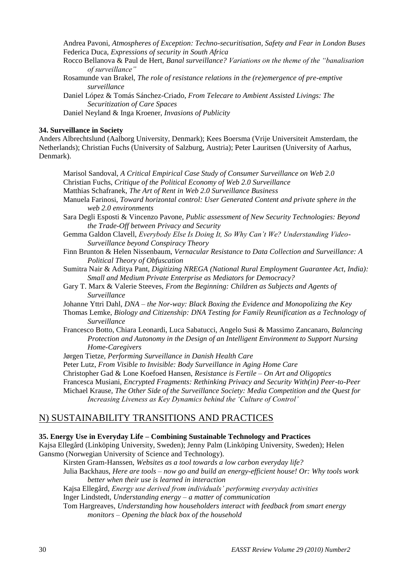Andrea Pavoni, *Atmospheres of Exception: Techno-securitisation, Safety and Fear in London Buses* Federica Duca, *Expressions of security in South Africa*

- Rocco Bellanova & Paul de Hert, *Banal surveillance? Variations on the theme of the "banalisation of surveillance"*
- Rosamunde van Brakel, *The role of resistance relations in the (re)emergence of pre-emptive surveillance*
- Daniel López & Tomás Sánchez-Criado, *From Telecare to Ambient Assisted Livings: The Securitization of Care Spaces*
- Daniel Neyland & Inga Kroener, *Invasions of Publicity*

#### **34. Surveillance in Society**

Anders Albrechtslund (Aalborg University, Denmark); Kees Boersma (Vrije Universiteit Amsterdam, the Netherlands); Christian Fuchs (University of Salzburg, Austria); Peter Lauritsen (University of Aarhus, Denmark).

Marisol Sandoval, *A Critical Empirical Case Study of Consumer Surveillance on Web 2.0* Christian Fuchs, *Critique of the Political Economy of Web 2.0 Surveillance* Matthias Schafranek, *The Art of Rent in Web 2.0 Surveillance Business* Manuela Farinosi, *Toward horizontal control: User Generated Content and private sphere in the web 2.0 environments* Sara Degli Esposti & Vincenzo Pavone, *Public assessment of New Security Technologies: Beyond the Trade-Off between Privacy and Security* Gemma Galdon Clavell, *Everybody Else Is Doing It, So Why Can"t We? Understanding Video-Surveillance beyond Conspiracy Theory* Finn Brunton & Helen Nissenbaum, *Vernacular Resistance to Data Collection and Surveillance: A Political Theory of Obfuscation* Sumitra Nair & Aditya Pant, *Digitizing NREGA (National Rural Employment Guarantee Act, India): Small and Medium Private Enterprise as Mediators for Democracy?* Gary T. Marx & Valerie Steeves, *From the Beginning: Children as Subjects and Agents of Surveillance* Johanne Yttri Dahl, *DNA – the Nor-way: Black Boxing the Evidence and Monopolizing the Key* Thomas Lemke, *Biology and Citizenship: DNA Testing for Family Reunification as a Technology of Surveillance* Francesco Botto, Chiara Leonardi, Luca Sabatucci, Angelo Susi & Massimo Zancanaro, *Balancing Protection and Autonomy in the Design of an Intelligent Environment to Support Nursing Home-Caregivers* Jørgen Tietze, *Performing Surveillance in Danish Health Care* Peter Lutz, *From Visible to Invisible: Body Surveillance in Aging Home Care* Christopher Gad & Lone Koefoed Hansen, *Resistance is Fertile – On Art and Oligoptics* Francesca Musiani, *Encrypted Fragments: Rethinking Privacy and Security With(in) Peer-to-Peer* Michael Krause, *The Other Side of the Surveillance Society: Media Competition and the Quest for* 

*Increasing Liveness as Key Dynamics behind the "Culture of Control"*

#### N) SUSTAINABILITY TRANSITIONS AND PRACTICES

#### **35. Energy Use in Everyday Life – Combining Sustainable Technology and Practices**

Kajsa Ellegård (Linköping University, Sweden); Jenny Palm (Linköping University, Sweden); Helen Gansmo (Norwegian University of Science and Technology).

Kirsten Gram-Hanssen, *Websites as a tool towards a low carbon everyday life?*

- Julia Backhaus, *Here are tools – now go and build an energy-efficient house! Or: Why tools work better when their use is learned in interaction*
- Kajsa Ellegård, *Energy use derived from individuals" performing everyday activities*

Inger Lindstedt, *Understanding energy – a matter of communication*

Tom Hargreaves, *Understanding how householders interact with feedback from smart energy monitors – Opening the black box of the household*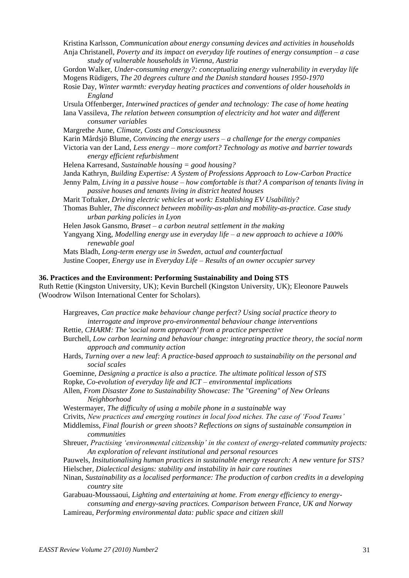Kristina Karlsson, *Communication about energy consuming devices and activities in households* Anja Christanell, *Poverty and its impact on everyday life routines of energy consumption – a case study of vulnerable households in Vienna, Austria* Gordon Walker, *Under-consuming energy?: conceptualizing energy vulnerability in everyday life* Mogens Rüdigers, *The 20 degrees culture and the Danish standard houses 1950-1970* Rosie Day, *Winter warmth: everyday heating practices and conventions of older households in England* Ursula Offenberger, *Interwined practices of gender and technology: The case of home heating* Iana Vassileva, *The relation between consumption of electricity and hot water and different consumer variables* Margrethe Aune, *Climate, Costs and Consciousness* Karin Mårdsjö Blume, *Convincing the energy users – a challenge for the energy companies* Victoria van der Land, *Less energy – more comfort? Technology as motive and barrier towards energy efficient refurbishment* Helena Karresand, *Sustainable housing = good housing?* Janda Kathryn, *Building Expertise: A System of Professions Approach to Low-Carbon Practice* Jenny Palm, *Living in a passive house – how comfortable is that? A comparison of tenants living in passive houses and tenants living in district heated houses* Marit Toftaker, *Driving electric vehicles at work: Establishing EV Usabilitiy?* Thomas Buhler, *The disconnect between mobility-as-plan and mobility-as-practice. Case study urban parking policies in Lyon* Helen Jøsok Gansmo, *Brøset – a carbon neutral settlement in the making* Yangyang Xing, *Modelling energy use in everyday life – a new approach to achieve a 100% renewable goal* Mats Bladh, *Long-term energy use in Sweden, actual and counterfactual* Justine Cooper, *Energy use in Everyday Life – Results of an owner occupier survey* **36. Practices and the Environment: Performing Sustainability and Doing STS**

Ruth Rettie (Kingston University, UK); Kevin Burchell (Kingston University, UK); Eleonore Pauwels (Woodrow Wilson International Center for Scholars).

Hargreaves, *Can practice make behaviour change perfect? Using social practice theory to interrogate and improve pro-environmental behaviour change interventions*

Rettie, *CHARM: The 'social norm approach' from a practice perspective*

- Burchell, *Low carbon learning and behaviour change: integrating practice theory, the social norm approach and community action*
- Hards, *Turning over a new leaf: A practice-based approach to sustainability on the personal and social scales*
- Goeminne, *Designing a practice is also a practice. The ultimate political lesson of STS*

Ropke, *Co-evolution of everyday life and ICT – environmental implications*

Allen, *From Disaster Zone to Sustainability Showcase: The "Greening" of New Orleans Neighborhood*

Westermayer, *The difficulty of using a mobile phone in a sustainable* way

Crivits, *New practices and emerging routines in local food niches. The case of "Food Teams"*

Middlemiss, *Final flourish or green shoots? Reflections on signs of sustainable consumption in communities*

- Shreuer, *Practising "environmental citizenship" in the context of energy-related community projects: An exploration of relevant institutional and personal resources*
- Pauwels, *Insitutionalising human practices in sustainable energy research: A new venture for STS?* Hielscher, *Dialectical designs: stability and instability in hair care routines*
- Ninan, *Sustainability as a localised performance: The production of carbon credits in a developing country site*
- Garabuau-Moussaoui, *Lighting and entertaining at home. From energy efficiency to energyconsuming and energy-saving practices. Comparison between France, UK and Norway*
- Lamireau, *Performing environmental data: public space and citizen skill*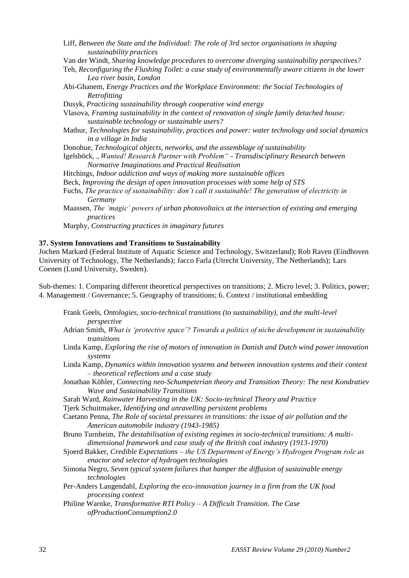Liff, *Between the State and the Individual: The role of 3rd sector organisations in shaping sustainability practices*

Van der Windt, *Sharing knowledge procedures to overcome diverging sustainability perspectives?*

Teh, *Reconfiguring the Flushing Toilet: a case study of environmentally aware citizens in the lower Lea river basin, London*

Abi-Ghanem, *Energy Practices and the Workplace Environment: the Social Technologies of Retrofitting*

Dusyk, *Practicing sustainability through cooperative wind energy*

Vlasova, *Framing sustainability in the context of renovation of single family detached house: sustainable technology or sustainable users?*

Mathur, *Technologies for sustainability, practices and power: water technology and social dynamics in a village in India*

Donohue, *Technological objects, networks, and the assemblage of sustainability*

Igelsböck, *"Wanted! Research Partner with Problem" - Transdisciplinary Research between Normative Imaginations and Practical Realisation*

Hitchings, *Indoor addiction and ways of making more sustainable offices*

Beck, *Improving the design of open innovation processes with some help of STS*

Fuchs, *The practice of sustainability: don"t call it sustainable! The generation of electricity in Germany*

Maassen, *The "magic" powers of urban photovoltaics at the intersection of existing and emerging practices*

Murphy, *Constructing practices in imaginary futures*

#### **37. System Innovations and Transitions to Sustainability**

Jochen Markard (Federal Institute of Aquatic Science and Technology, Switzerland); Rob Raven (Eindhoven University of Technology, The Netherlands); Jacco Farla (Utrecht University, The Netherlands); Lars Coenen (Lund University, Sweden).

Sub-themes: 1. Comparing different theoretical perspectives on transitions; 2. Micro level; 3. Politics, power; 4. Management / Governance; 5. Geography of transitions; 6. Context / institutional embedding

- Frank Geels, *Ontologies, socio-technical transitions (to sustainability), and the multi-level perspective*
- Adrian Smith, *What is "protective space"? Towards a politics of niche development in sustainability transitions*
- Linda Kamp, *Exploring the rise of motors of innovation in Danish and Dutch wind power innovation systems*
- Linda Kamp, *Dynamics within innovation systems and between innovation systems and their context – theoretical reflections and a case study*
- Jonathan Köhler, *Connecting neo-Schumpeterian theory and Transition Theory: The next Kondratiev Wave and Sustainability Transitions*

Sarah Ward, *Rainwater Harvesting in the UK: Socio-technical Theory and Practice*

Tjerk Schuitmaker, *Identifying and unravelling persistent problems*

Caetano Penna, *The Role of societal pressures in transitions: the issue of air pollution and the American automobile industry (1943-1985)*

Bruno Turnheim, *The destabilisation of existing regimes in socio-technical transitions: A multidimensional framework and case study of the British coal industry (1913-1970)*

- Sjoerd Bakker, *Credible Expectations – the US Department of Energy"s Hydrogen Program role as enactor and selector of hydrogen technologies*
- Simona Negro, *Seven typical system failures that hamper the diffusion of sustainable energy technologies*

Per-Anders Langendahl, *Exploring the eco-innovation journey in a firm from the UK food processing context*

Philine Warnke, *Transformative RTI Policy – A Difficult Transition. The Case ofProductionConsumption2.0*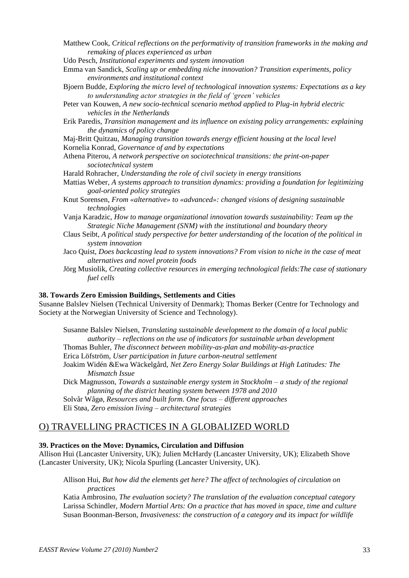Matthew Cook, *Critical reflections on the performativity of transition frameworks in the making and remaking of places experienced as urban*

Udo Pesch, *Institutional experiments and system innovation*

- Emma van Sandick, *Scaling up or embedding niche innovation? Transition experiments, policy environments and institutional context*
- Bjoern Budde, *Exploring the micro level of technological innovation systems: Expectations as a key to understanding actor strategies in the field of "green" vehicles*
- Peter van Kouwen, *A new socio-technical scenario method applied to Plug-in hybrid electric vehicles in the Netherlands*
- Erik Paredis, *Transition management and its influence on existing policy arrangements: explaining the dynamics of policy change*

Maj-Britt Quitzau, *Managing transition towards energy efficient housing at the local level* Kornelia Konrad, *Governance of and by expectations*

Athena Piterou, *A network perspective on sociotechnical transitions: the print-on-paper sociotechnical system*

Harald Rohracher, *Understanding the role of civil society in energy transitions*

- Mattias Weber, *A systems approach to transition dynamics: providing a foundation for legitimizing goal-oriented policy strategies*
- Knut Sorensen, *From «alternative» to «advanced»: changed visions of designing sustainable technologies*
- Vanja Karadzic, *How to manage organizational innovation towards sustainability: Team up the Strategic Niche Management (SNM) with the institutional and boundary theory*
- Claus Seibt, *A political study perspective for better understanding of the location of the political in system innovation*
- Jaco Quist, *Does backcasting lead to system innovations? From vision to niche in the case of meat alternatives and novel protein foods*
- Jörg Musiolik, *Creating collective resources in emerging technological fields:The case of stationary fuel cells*

#### **38. Towards Zero Emission Buildings, Settlements and Cities**

Susanne Balslev Nielsen (Technical University of Denmark); Thomas Berker (Centre for Technology and Society at the Norwegian University of Science and Technology).

Susanne Balslev Nielsen, *Translating sustainable development to the domain of a local public authority – reflections on the use of indicators for sustainable urban development* Thomas Buhler, *The disconnect between mobility-as-plan and mobility-as-practice* Erica Löfström, *User participation in future carbon-neutral settlement* Joakim Widén &Ewa Wäckelgård, *Net Zero Energy Solar Buildings at High Latitudes: The Mismatch Issue*

Dick Magnusson, *Towards a sustainable energy system in Stockholm – a study of the regional planning of the district heating system between 1978 and 2010*

Solvår Wågø, *Resources and built form. One focus – different approaches*

Eli Støa, *Zero emission living – architectural strategies*

#### O) TRAVELLING PRACTICES IN A GLOBALIZED WORLD

#### **39. Practices on the Move: Dynamics, Circulation and Diffusion**

Allison Hui (Lancaster University, UK); Julien McHardy (Lancaster University, UK); Elizabeth Shove (Lancaster University, UK); Nicola Spurling (Lancaster University, UK).

Allison Hui, *But how did the elements get here? The affect of technologies of circulation on practices*

Katia Ambrosino, *The evaluation society? The translation of the evaluation conceptual category* Larissa Schindler, *Modern Martial Arts: On a practice that has moved in space, time and culture* Susan Boonman-Berson, *Invasiveness: the construction of a category and its impact for wildlife*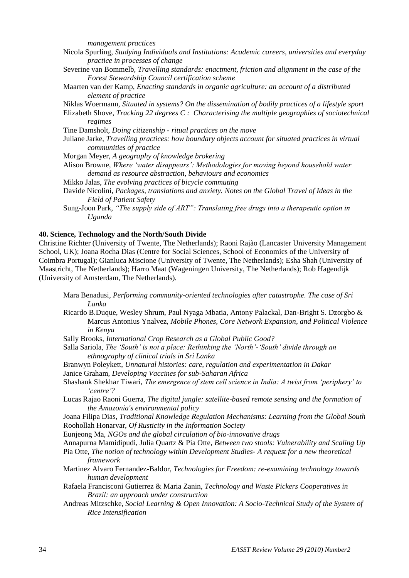*management practices*

| Nicola Spurling, Studying Individuals and Institutions: Academic careers, universities and everyday |  |  |  |
|-----------------------------------------------------------------------------------------------------|--|--|--|
| practice in processes of change                                                                     |  |  |  |

Severine van Bommelb, *Travelling standards: enactment, friction and alignment in the case of the Forest Stewardship Council certification scheme*

Maarten van der Kamp, *Enacting standards in organic agriculture: an account of a distributed element of practice*

Niklas Woermann, *Situated in systems? On the dissemination of bodily practices of a lifestyle sport*

Elizabeth Shove, *Tracking 22 degrees C : Characterising the multiple geographies of sociotechnical regimes*

Tine Damsholt, *Doing citizenship - ritual practices on the move*

Juliane Jarke, *Travelling practices: how boundary objects account for situated practices in virtual communities of practice*

Morgan Meyer, *A geography of knowledge brokering*

Alison Browne, *Where "water disappears": Methodologies for moving beyond household water demand as resource abstraction, behaviours and economics*

Mikko Jalas, *The evolving practices of bicycle commuting*

- Davide Nicolini, *Packages, translations and anxiety. Notes on the Global Travel of Ideas in the Field of Patient Safety*
- Sung-Joon Park, *"The supply side of ART": Translating free drugs into a therapeutic option in Uganda*

#### **40. Science, Technology and the North/South Divide**

Christine Richter (University of Twente, The Netherlands); Raoni Rajão (Lancaster University Management School, UK); Joana Rocha Dias (Centre for Social Sciences, School of Economics of the University of Coimbra Portugal); Gianluca Miscione (University of Twente, The Netherlands); Esha Shah (University of Maastricht, The Netherlands); Harro Maat (Wageningen University, The Netherlands); Rob Hagendijk (University of Amsterdam, The Netherlands).

- Mara Benadusi, *Performing community-oriented technologies after catastrophe. The case of Sri Lanka*
- Ricardo B.Duque, Wesley Shrum, Paul Nyaga Mbatia, Antony Palackal, Dan-Bright S. Dzorgbo & Marcus Antonius Ynalvez, *Mobile Phones, Core Network Expansion, and Political Violence in Kenya*
- Sally Brooks, *International Crop Research as a Global Public Good?*
- Salla Sariola, *The "South" is not a place: Rethinking the "North"-"South" divide through an ethnography of clinical trials in Sri Lanka*
- Branwyn Poleykett, *Unnatural histories: care, regulation and experimentation in Dakar* Janice Graham, *Developing Vaccines for sub-Saharan Africa*
- Shashank Shekhar Tiwari, *The emergence of stem cell science in India: A twist from "periphery" to "centre"?*
- Lucas Rajao Raoni Guerra, *The digital jungle: satellite-based remote sensing and the formation of the Amazonia's environmental policy*

Joana Filipa Dias, *Traditional Knowledge Regulation Mechanisms: Learning from the Global South* Roohollah Honarvar, *Of Rusticity in the Information Society*

Eunjeong Ma, *NGOs and the global circulation of bio-innovative drugs*

Annapurna Mamidipudi, Julia Quartz & Pia Otte, *Between two stools: Vulnerability and Scaling Up*

- Pia Otte, *The notion of technology within Development Studies- A request for a new theoretical framework*
- Martinez Alvaro Fernandez-Baldor, *Technologies for Freedom: re-examining technology towards human development*
- Rafaela Francisconi Gutierrez & Maria Zanin, *Technology and Waste Pickers Cooperatives in Brazil: an approach under construction*
- Andreas Mitzschke, *Social Learning & Open Innovation: A Socio-Technical Study of the System of Rice Intensification*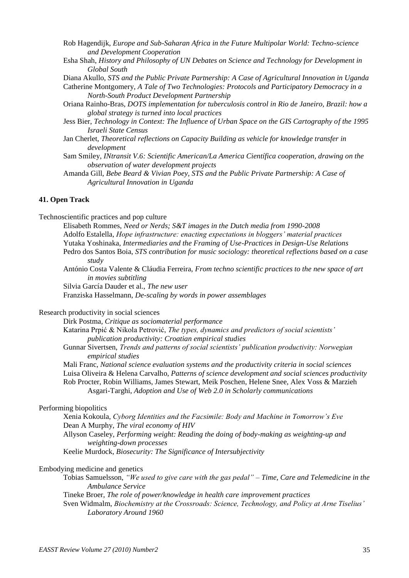Rob Hagendijk, *Europe and Sub-Saharan Africa in the Future Multipolar World: Techno-science and Development Cooperation* 

Esha Shah, *History and Philosophy of UN Debates on Science and Technology for Development in Global South* 

Diana Akullo, *STS and the Public Private Partnership: A Case of Agricultural Innovation in Uganda* 

- Catherine Montgomery, *A Tale of Two Technologies: Protocols and Participatory Democracy in a North-South Product Development Partnership*
- Oriana Rainho-Bras, *DOTS implementation for tuberculosis control in Rio de Janeiro, Brazil: how a global strategy is turned into local practices*
- Jess Bier, *Technology in Context: The Influence of Urban Space on the GIS Cartography of the 1995 Israeli State Census*
- Jan Cherlet, *Theoretical reflections on Capacity Building as vehicle for knowledge transfer in development*
- Sam Smiley, *INtransit V.6: Scientific American/La America Científica cooperation, drawing on the observation of water development projects*
- Amanda Gill, *Bebe Beard & Vivian Poey, STS and the Public Private Partnership: A Case of Agricultural Innovation in Uganda*

#### **41. Open Track**

Technoscientific practices and pop culture

- Elisabeth Rommes, *Need or Nerds; S&T images in the Dutch media from 1990-2008* Adolfo Estalella, *Hope infrastructure: enacting expectations in bloggers" material practices* Yutaka Yoshinaka, *Intermediaries and the Framing of Use-Practices in Design-Use Relations* Pedro dos Santos Boia, *STS contribution for music sociology: theoretical reflections based on a case study*
- António Costa Valente & Cláudia Ferreira, *From techno scientific practices to the new space of art in movies subtitling*

Silvia García Dauder et al., *The new user*

Franziska Hasselmann, *De-scaling by words in power assemblages*

Research productivity in social sciences

Dirk Postma, *Critique as sociomaterial performance* Katarina Prpić & Nikola Petrović, *The types, dynamics and predictors of social scientists" publication productivity: Croatian empirical studies* Gunnar Sivertsen, *Trends and patterns of social scientists" publication productivity: Norwegian empirical studies*

Mali Franc, *National science evaluation systems and the productivity criteria in social sciences* Luisa Oliveira & Helena Carvalho, *Patterns of science development and social sciences productivity* Rob Procter, Robin Williams, James Stewart, Meik Poschen, Helene Snee, Alex Voss & Marzieh Asgari-Targhi, *Adoption and Use of Web 2.0 in Scholarly communications*

#### Performing biopolitics

Xenia Kokoula, *Cyborg Identities and the Facsimile: Body and Machine in Tomorrow"s Eve* Dean A Murphy, *The viral economy of HIV* Allyson Caseley, *Performing weight: Reading the doing of body-making as weighting-up and weighting-down processes*

Keelie Murdock, *Biosecurity: The Significance of Intersubjectivity*

#### Embodying medicine and genetics

Tobias Samuelsson, *"We used to give care with the gas pedal" – Time, Care and Telemedicine in the Ambulance Service*

Tineke Broer, *The role of power/knowledge in health care improvement practices*

Sven Widmalm, *Biochemistry at the Crossroads: Science, Technology, and Policy at Arne Tiselius" Laboratory Around 1960*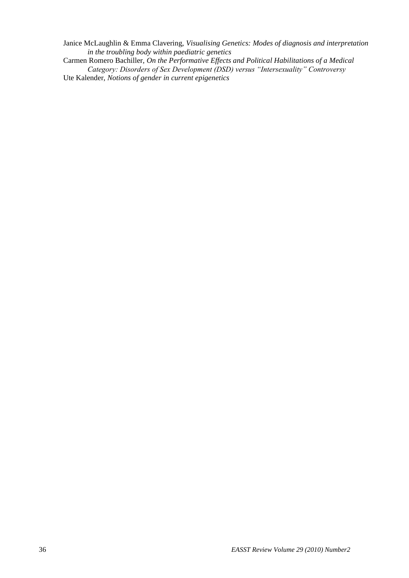Janice McLaughlin & Emma Clavering, *Visualising Genetics: Modes of diagnosis and interpretation in the troubling body within paediatric genetics*

Carmen Romero Bachiller, *On the Performative Effects and Political Habilitations of a Medical Category: Disorders of Sex Development (DSD) versus "Intersexuality" Controversy* Ute Kalender, *Notions of gender in current epigenetics*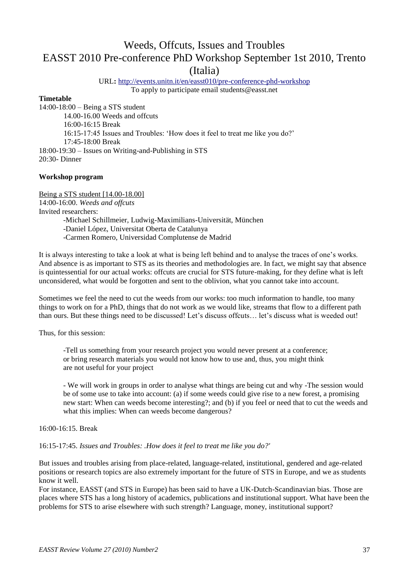## Weeds, Offcuts, Issues and Troubles EASST 2010 Pre-conference PhD Workshop September 1st 2010, Trento (Italia)

URL**:** <http://events.unitn.it/en/easst010/pre-conference-phd-workshop> To apply to participate email students@easst.net

#### **Timetable**

14:00-18:00 – Being a STS student 14.00-16.00 Weeds and offcuts 16:00-16:15 Break 16:15-17:45 Issues and Troubles: "How does it feel to treat me like you do?" 17:45-18:00 Break 18:00-19:30 – Issues on Writing-and-Publishing in STS 20:30- Dinner

#### **Workshop program**

Being a STS student [14.00-18.00] 14:00-16:00. *Weeds and offcuts* Invited researchers: -Michael Schillmeier, Ludwig-Maximilians-Universität, München -Daniel López, Universitat Oberta de Catalunya -Carmen Romero, Universidad Complutense de Madrid

It is always interesting to take a look at what is being left behind and to analyse the traces of one"s works. And absence is as important to STS as its theories and methodologies are. In fact, we might say that absence is quintessential for our actual works: offcuts are crucial for STS future-making, for they define what is left unconsidered, what would be forgotten and sent to the oblivion, what you cannot take into account.

Sometimes we feel the need to cut the weeds from our works: too much information to handle, too many things to work on for a PhD, things that do not work as we would like, streams that flow to a different path than ours. But these things need to be discussed! Let"s discuss offcuts… let"s discuss what is weeded out!

Thus, for this session:

-Tell us something from your research project you would never present at a conference; or bring research materials you would not know how to use and, thus, you might think are not useful for your project

- We will work in groups in order to analyse what things are being cut and why -The session would be of some use to take into account: (a) if some weeds could give rise to a new forest, a promising new start: When can weeds become interesting?; and (b) if you feel or need that to cut the weeds and what this implies: When can weeds become dangerous?

16:00-16:15. Break

16:15-17:45. *Issues and Troubles: .How does it feel to treat me like you do?'*

But issues and troubles arising from place-related, language-related, institutional, gendered and age-related positions or research topics are also extremely important for the future of STS in Europe, and we as students know it well.

For instance, EASST (and STS in Europe) has been said to have a UK-Dutch-Scandinavian bias. Those are places where STS has a long history of academics, publications and institutional support. What have been the problems for STS to arise elsewhere with such strength? Language, money, institutional support?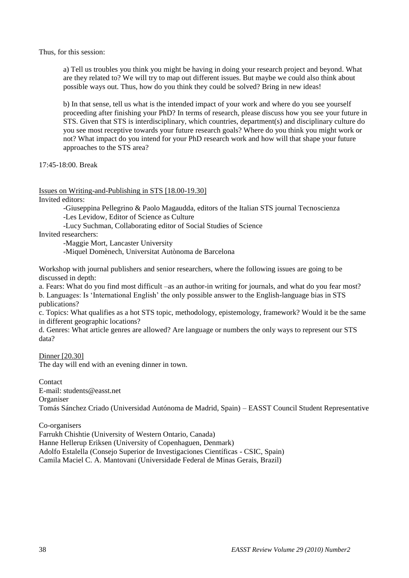Thus, for this session:

a) Tell us troubles you think you might be having in doing your research project and beyond. What are they related to? We will try to map out different issues. But maybe we could also think about possible ways out. Thus, how do you think they could be solved? Bring in new ideas!

b) In that sense, tell us what is the intended impact of your work and where do you see yourself proceeding after finishing your PhD? In terms of research, please discuss how you see your future in STS. Given that STS is interdisciplinary, which countries, department(s) and disciplinary culture do you see most receptive towards your future research goals? Where do you think you might work or not? What impact do you intend for your PhD research work and how will that shape your future approaches to the STS area?

17:45-18:00. Break

Issues on Writing-and-Publishing in STS [18.00-19.30]

Invited editors:

-Giuseppina Pellegrino & Paolo Magaudda, editors of the Italian STS journal Tecnoscienza -Les Levidow, Editor of Science as Culture

-Lucy Suchman, Collaborating editor of Social Studies of Science

Invited researchers:

-Maggie Mort, Lancaster University

-Miquel Domènech, Universitat Autònoma de Barcelona

Workshop with journal publishers and senior researchers, where the following issues are going to be discussed in depth:

a. Fears: What do you find most difficult –as an author-in writing for journals, and what do you fear most? b. Languages: Is "International English" the only possible answer to the English-language bias in STS publications?

c. Topics: What qualifies as a hot STS topic, methodology, epistemology, framework? Would it be the same in different geographic locations?

d. Genres: What article genres are allowed? Are language or numbers the only ways to represent our STS data?

Dinner [20.30] The day will end with an evening dinner in town.

Contact E-mail: students@easst.net Organiser Tomás Sánchez Criado (Universidad Autónoma de Madrid, Spain) – EASST Council Student Representative

Co-organisers Farrukh Chishtie (University of Western Ontario, Canada) Hanne Hellerup Eriksen (University of Copenhaguen, Denmark) Adolfo Estalella (Consejo Superior de Investigaciones Científicas - CSIC, Spain) Camila Maciel C. A. Mantovani (Universidade Federal de Minas Gerais, Brazil)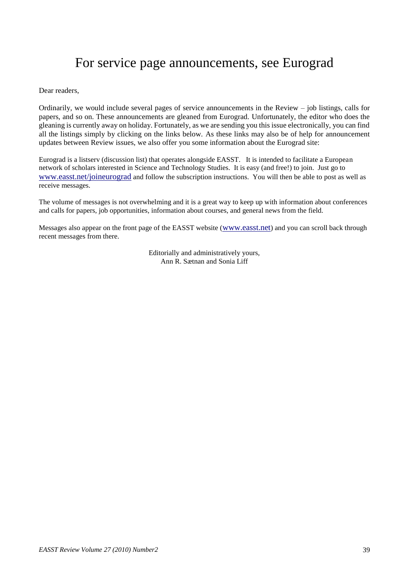# For service page announcements, see Eurograd

Dear readers,

Ordinarily, we would include several pages of service announcements in the Review – job listings, calls for papers, and so on. These announcements are gleaned from Eurograd. Unfortunately, the editor who does the gleaning is currently away on holiday. Fortunately, as we are sending you this issue electronically, you can find all the listings simply by clicking on the links below. As these links may also be of help for announcement updates between Review issues, we also offer you some information about the Eurograd site:

Eurograd is a listserv (discussion list) that operates alongside EASST. It is intended to facilitate a European network of scholars interested in Science and Technology Studies. It is easy (and free!) to join. Just go to [www.easst.net/joineurograd](http://www.easst.net/joineurograd) and follow the subscription instructions. You will then be able to post as well as receive messages.

The volume of messages is not overwhelming and it is a great way to keep up with information about conferences and calls for papers, job opportunities, information about courses, and general news from the field.

Messages also appear on the front page of the EASST website ([www.easst.net](http://www.easst.net/)) and you can scroll back through recent messages from there.

> Editorially and administratively yours, Ann R. Sætnan and Sonia Liff